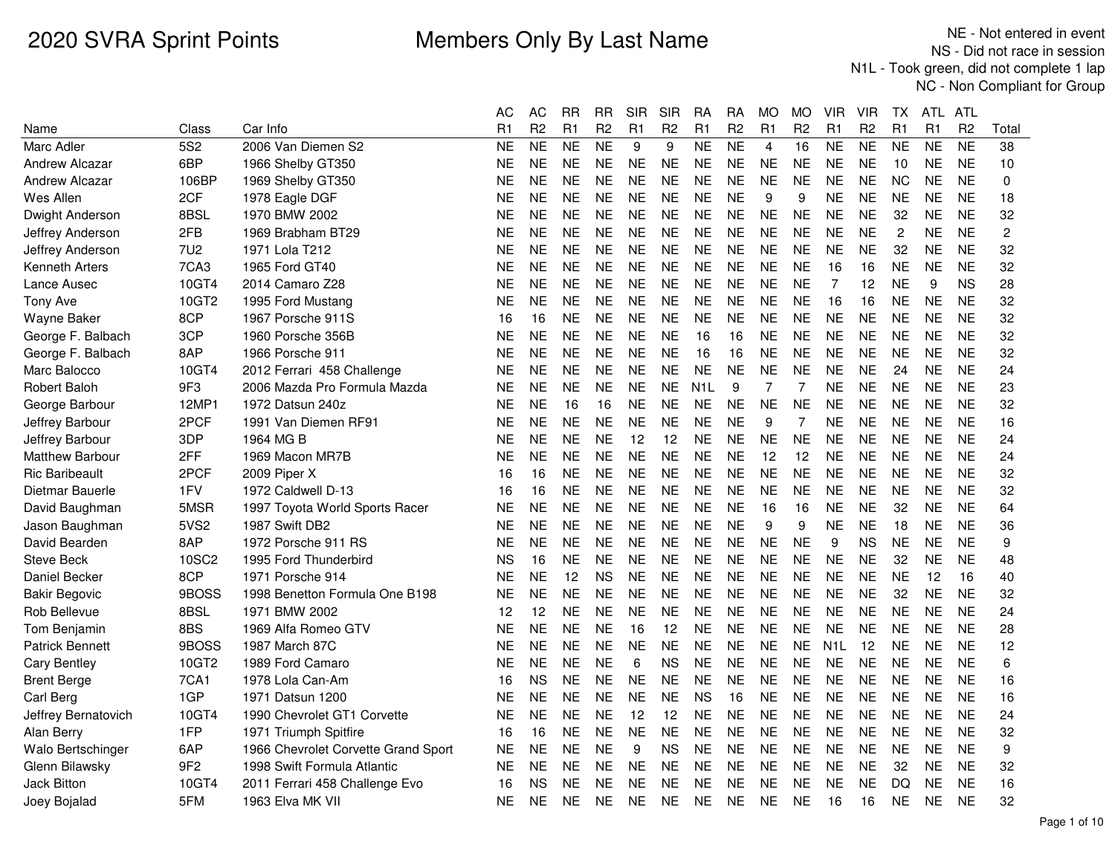|                        |                 |                                     | AC        | <b>AC</b>      | <b>RR</b> | <b>RR</b>      | <b>SIR</b> | SIR            | <b>RA</b>        | <b>RA</b>      | МO             | <b>MO</b>      | VIR              | <b>VIR</b>     | ТX             | ATL       | ATL            |                |
|------------------------|-----------------|-------------------------------------|-----------|----------------|-----------|----------------|------------|----------------|------------------|----------------|----------------|----------------|------------------|----------------|----------------|-----------|----------------|----------------|
| Name                   | Class           | Car Info                            | R1        | R <sub>2</sub> | R1        | R <sub>2</sub> | R1         | R <sub>2</sub> | R1               | R <sub>2</sub> | R <sub>1</sub> | R <sub>2</sub> | R1               | R <sub>2</sub> | R1             | R1        | R <sub>2</sub> | Total          |
| Marc Adler             | 5S <sub>2</sub> | 2006 Van Diemen S2                  | <b>NE</b> | <b>NE</b>      | <b>NE</b> | <b>NE</b>      | 9          | 9              | <b>NE</b>        | <b>NE</b>      | $\overline{4}$ | 16             | <b>NE</b>        | <b>NE</b>      | <b>NE</b>      | <b>NE</b> | <b>NE</b>      | 38             |
| <b>Andrew Alcazar</b>  | 6BP             | 1966 Shelby GT350                   | NE        | <b>NE</b>      | <b>NE</b> | <b>NE</b>      | <b>NE</b>  | NE             | <b>NE</b>        | <b>NE</b>      | <b>NE</b>      | NE             | <b>NE</b>        | <b>NE</b>      | 10             | NE        | <b>NE</b>      | 10             |
| Andrew Alcazar         | 106BP           | 1969 Shelby GT350                   | <b>NE</b> | <b>NE</b>      | <b>NE</b> | <b>NE</b>      | <b>NE</b>  | <b>NE</b>      | <b>NE</b>        | <b>NE</b>      | <b>NE</b>      | <b>NE</b>      | <b>NE</b>        | <b>NE</b>      | <b>NC</b>      | <b>NE</b> | <b>NE</b>      | $\mathbf 0$    |
| Wes Allen              | 2CF             | 1978 Eagle DGF                      | <b>NE</b> | <b>NE</b>      | <b>NE</b> | <b>NE</b>      | <b>NE</b>  | <b>NE</b>      | <b>NE</b>        | <b>NE</b>      | 9              | 9              | <b>NE</b>        | <b>NE</b>      | <b>NE</b>      | <b>NE</b> | <b>NE</b>      | 18             |
| Dwight Anderson        | 8BSL            | 1970 BMW 2002                       | <b>NE</b> | <b>NE</b>      | <b>NE</b> | <b>NE</b>      | <b>NE</b>  | <b>NE</b>      | <b>NE</b>        | <b>NE</b>      | <b>NE</b>      | <b>NE</b>      | <b>NE</b>        | <b>NE</b>      | 32             | NE.       | <b>NE</b>      | 32             |
| Jeffrey Anderson       | 2FB             | 1969 Brabham BT29                   | <b>NE</b> | <b>NE</b>      | <b>NE</b> | <b>NE</b>      | <b>NE</b>  | <b>NE</b>      | <b>NE</b>        | <b>NE</b>      | <b>NE</b>      | <b>NE</b>      | <b>NE</b>        | <b>NE</b>      | $\overline{c}$ | <b>NE</b> | <b>NE</b>      | $\overline{c}$ |
| Jeffrey Anderson       | 7U <sub>2</sub> | 1971 Lola T212                      | NE        | <b>NE</b>      | <b>NE</b> | <b>NE</b>      | <b>NE</b>  | <b>NE</b>      | <b>NE</b>        | <b>NE</b>      | <b>NE</b>      | <b>NE</b>      | <b>NE</b>        | <b>NE</b>      | 32             | <b>NE</b> | <b>NE</b>      | 32             |
| Kenneth Arters         | 7CA3            | 1965 Ford GT40                      | <b>NE</b> | <b>NE</b>      | NE.       | <b>NE</b>      | NE         | <b>NE</b>      | <b>NE</b>        | <b>NE</b>      | <b>NE</b>      | NE             | 16               | 16             | <b>NE</b>      | NE.       | <b>NE</b>      | 32             |
| Lance Ausec            | 10GT4           | 2014 Camaro Z28                     | <b>NE</b> | <b>NE</b>      | <b>NE</b> | <b>NE</b>      | <b>NE</b>  | <b>NE</b>      | <b>NE</b>        | <b>NE</b>      | <b>NE</b>      | <b>NE</b>      | 7                | 12             | <b>NE</b>      | 9         | <b>NS</b>      | 28             |
| <b>Tony Ave</b>        | 10GT2           | 1995 Ford Mustang                   | <b>NE</b> | <b>NE</b>      | <b>NE</b> | <b>NE</b>      | <b>NE</b>  | <b>NE</b>      | <b>NE</b>        | <b>NE</b>      | <b>NE</b>      | <b>NE</b>      | 16               | 16             | <b>NE</b>      | <b>NE</b> | <b>NE</b>      | 32             |
| Wayne Baker            | 8CP             | 1967 Porsche 911S                   | 16        | 16             | <b>NE</b> | <b>NE</b>      | <b>NE</b>  | <b>NE</b>      | <b>NE</b>        | <b>NE</b>      | <b>NE</b>      | <b>NE</b>      | <b>NE</b>        | <b>NE</b>      | <b>NE</b>      | <b>NE</b> | <b>NE</b>      | 32             |
| George F. Balbach      | 3CP             | 1960 Porsche 356B                   | <b>NE</b> | <b>NE</b>      | <b>NE</b> | <b>NE</b>      | <b>NE</b>  | <b>NE</b>      | 16               | 16             | <b>NE</b>      | <b>NE</b>      | <b>NE</b>        | <b>NE</b>      | <b>NE</b>      | <b>NE</b> | <b>NE</b>      | 32             |
| George F. Balbach      | 8AP             | 1966 Porsche 911                    | <b>NE</b> | <b>NE</b>      | NE.       | <b>NE</b>      | <b>NE</b>  | <b>NE</b>      | 16               | 16             | <b>NE</b>      | NE             | <b>NE</b>        | <b>NE</b>      | <b>NE</b>      | NE.       | <b>NE</b>      | 32             |
| Marc Balocco           | 10GT4           | 2012 Ferrari 458 Challenge          | <b>NE</b> | <b>NE</b>      | <b>NE</b> | <b>NE</b>      | <b>NE</b>  | <b>NE</b>      | <b>NE</b>        | <b>NE</b>      | <b>NE</b>      | <b>NE</b>      | <b>NE</b>        | <b>NE</b>      | 24             | <b>NE</b> | <b>NE</b>      | 24             |
| <b>Robert Baloh</b>    | 9F3             | 2006 Mazda Pro Formula Mazda        | <b>NE</b> | <b>NE</b>      | <b>NE</b> | <b>NE</b>      | <b>NE</b>  | <b>NE</b>      | N <sub>1</sub> L | 9              | 7              | 7              | <b>NE</b>        | <b>NE</b>      | <b>NE</b>      | <b>NE</b> | <b>NE</b>      | 23             |
| George Barbour         | 12MP1           | 1972 Datsun 240z                    | <b>NE</b> | <b>NE</b>      | 16        | 16             | <b>NE</b>  | <b>NE</b>      | <b>NE</b>        | <b>NE</b>      | <b>NE</b>      | <b>NE</b>      | <b>NE</b>        | <b>NE</b>      | <b>NE</b>      | <b>NE</b> | <b>NE</b>      | 32             |
| Jeffrey Barbour        | 2PCF            | 1991 Van Diemen RF91                | <b>NE</b> | <b>NE</b>      | <b>NE</b> | <b>NE</b>      | <b>NE</b>  | <b>NE</b>      | <b>NE</b>        | <b>NE</b>      | 9              | 7              | <b>NE</b>        | <b>NE</b>      | <b>NE</b>      | <b>NE</b> | <b>NE</b>      | 16             |
| Jeffrey Barbour        | 3DP             | 1964 MG B                           | NE        | <b>NE</b>      | <b>NE</b> | <b>NE</b>      | 12         | 12             | <b>NE</b>        | <b>NE</b>      | <b>NE</b>      | <b>NE</b>      | <b>NE</b>        | <b>NE</b>      | <b>NE</b>      | <b>NE</b> | <b>NE</b>      | 24             |
| <b>Matthew Barbour</b> | 2FF             | 1969 Macon MR7B                     | NE        | <b>NE</b>      | <b>NE</b> | <b>NE</b>      | <b>NE</b>  | <b>NE</b>      | <b>NE</b>        | <b>NE</b>      | 12             | 12             | <b>NE</b>        | <b>NE</b>      | <b>NE</b>      | <b>NE</b> | <b>NE</b>      | 24             |
| <b>Ric Baribeault</b>  | 2PCF            | 2009 Piper X                        | 16        | 16             | <b>NE</b> | <b>NE</b>      | <b>NE</b>  | <b>NE</b>      | <b>NE</b>        | <b>NE</b>      | <b>NE</b>      | <b>NE</b>      | <b>NE</b>        | <b>NE</b>      | <b>NE</b>      | <b>NE</b> | <b>NE</b>      | 32             |
| Dietmar Bauerle        | 1FV             | 1972 Caldwell D-13                  | 16        | 16             | <b>NE</b> | <b>NE</b>      | <b>NE</b>  | <b>NE</b>      | <b>NE</b>        | <b>NE</b>      | <b>NE</b>      | <b>NE</b>      | <b>NE</b>        | <b>NE</b>      | <b>NE</b>      | <b>NE</b> | <b>NE</b>      | 32             |
| David Baughman         | 5MSR            | 1997 Toyota World Sports Racer      | ΝE        | <b>NE</b>      | <b>NE</b> | <b>NE</b>      | <b>NE</b>  | <b>NE</b>      | <b>NE</b>        | <b>NE</b>      | 16             | 16             | <b>NE</b>        | <b>NE</b>      | 32             | <b>NE</b> | <b>NE</b>      | 64             |
| Jason Baughman         | 5VS2            | 1987 Swift DB2                      | NE        | <b>NE</b>      | <b>NE</b> | <b>NE</b>      | <b>NE</b>  | <b>NE</b>      | <b>NE</b>        | <b>NE</b>      | 9              | 9              | <b>NE</b>        | <b>NE</b>      | 18             | <b>NE</b> | <b>NE</b>      | 36             |
| David Bearden          | 8AP             | 1972 Porsche 911 RS                 | <b>NE</b> | <b>NE</b>      | <b>NE</b> | <b>NE</b>      | <b>NE</b>  | <b>NE</b>      | <b>NE</b>        | <b>NE</b>      | <b>NE</b>      | <b>NE</b>      | 9                | ΝS             | <b>NE</b>      | <b>NE</b> | <b>NE</b>      | 9              |
| <b>Steve Beck</b>      | 10SC2           | 1995 Ford Thunderbird               | <b>NS</b> | 16             | <b>NE</b> | <b>NE</b>      | <b>NE</b>  | <b>NE</b>      | <b>NE</b>        | <b>NE</b>      | <b>NE</b>      | <b>NE</b>      | <b>NE</b>        | <b>NE</b>      | 32             | <b>NE</b> | <b>NE</b>      | 48             |
| Daniel Becker          | 8CP             | 1971 Porsche 914                    | <b>NE</b> | <b>NE</b>      | 12        | <b>NS</b>      | <b>NE</b>  | <b>NE</b>      | <b>NE</b>        | <b>NE</b>      | <b>NE</b>      | <b>NE</b>      | <b>NE</b>        | <b>NE</b>      | <b>NE</b>      | 12        | 16             | 40             |
| <b>Bakir Begovic</b>   | 9BOSS           | 1998 Benetton Formula One B198      | <b>NE</b> | <b>NE</b>      | <b>NE</b> | <b>NE</b>      | <b>NE</b>  | <b>NE</b>      | <b>NE</b>        | <b>NE</b>      | <b>NE</b>      | <b>NE</b>      | <b>NE</b>        | <b>NE</b>      | 32             | <b>NE</b> | <b>NE</b>      | 32             |
| Rob Bellevue           | 8BSL            | 1971 BMW 2002                       | 12        | 12             | <b>NE</b> | <b>NE</b>      | <b>NE</b>  | <b>NE</b>      | <b>NE</b>        | <b>NE</b>      | <b>NE</b>      | <b>NE</b>      | <b>NE</b>        | <b>NE</b>      | <b>NE</b>      | <b>NE</b> | <b>NE</b>      | 24             |
| Tom Benjamin           | 8BS             | 1969 Alfa Romeo GTV                 | <b>NE</b> | <b>NE</b>      | <b>NE</b> | <b>NE</b>      | 16         | 12             | <b>NE</b>        | <b>NE</b>      | <b>NE</b>      | <b>NE</b>      | <b>NE</b>        | <b>NE</b>      | <b>NE</b>      | NE.       | <b>NE</b>      | 28             |
| <b>Patrick Bennett</b> | 9BOSS           | 1987 March 87C                      | NE        | <b>NE</b>      | <b>NE</b> | <b>NE</b>      | <b>NE</b>  | <b>NE</b>      | <b>NE</b>        | <b>NE</b>      | <b>NE</b>      | <b>NE</b>      | N <sub>1</sub> L | 12             | <b>NE</b>      | <b>NE</b> | <b>NE</b>      | 12             |
| <b>Cary Bentley</b>    | 10GT2           | 1989 Ford Camaro                    | <b>NE</b> | <b>NE</b>      | <b>NE</b> | <b>NE</b>      | 6          | <b>NS</b>      | <b>NE</b>        | <b>NE</b>      | <b>NE</b>      | <b>NE</b>      | <b>NE</b>        | <b>NE</b>      | <b>NE</b>      | <b>NE</b> | <b>NE</b>      | 6              |
| <b>Brent Berge</b>     | 7CA1            | 1978 Lola Can-Am                    | 16        | <b>NS</b>      | <b>NE</b> | <b>NE</b>      | <b>NE</b>  | <b>NE</b>      | <b>NE</b>        | <b>NE</b>      | <b>NE</b>      | <b>NE</b>      | <b>NE</b>        | <b>NE</b>      | <b>NE</b>      | <b>NE</b> | <b>NE</b>      | 16             |
| Carl Berg              | 1GP             | 1971 Datsun 1200                    | NE        | <b>NE</b>      | <b>NE</b> | <b>NE</b>      | <b>NE</b>  | <b>NE</b>      | <b>NS</b>        | 16             | <b>NE</b>      | <b>NE</b>      | <b>NE</b>        | <b>NE</b>      | <b>NE</b>      | <b>NE</b> | <b>NE</b>      | 16             |
| Jeffrey Bernatovich    | 10GT4           | 1990 Chevrolet GT1 Corvette         | <b>NE</b> | <b>NE</b>      | <b>NE</b> | <b>NE</b>      | 12         | 12             | <b>NE</b>        | <b>NE</b>      | <b>NE</b>      | <b>NE</b>      | <b>NE</b>        | <b>NE</b>      | <b>NE</b>      | <b>NE</b> | <b>NE</b>      | 24             |
| Alan Berry             | 1FP             | 1971 Triumph Spitfire               | 16        | 16             | <b>NE</b> | <b>NE</b>      | <b>NE</b>  | <b>NE</b>      | <b>NE</b>        | <b>NE</b>      | <b>NE</b>      | <b>NE</b>      | <b>NE</b>        | <b>NE</b>      | <b>NE</b>      | <b>NE</b> | <b>NE</b>      | 32             |
| Walo Bertschinger      | 6AP             | 1966 Chevrolet Corvette Grand Sport | <b>NE</b> | <b>NE</b>      | <b>NE</b> | <b>NE</b>      | 9          | <b>NS</b>      | <b>NE</b>        | <b>NE</b>      | <b>NE</b>      | <b>NE</b>      | <b>NE</b>        | <b>NE</b>      | <b>NE</b>      | <b>NE</b> | <b>NE</b>      | 9              |
| Glenn Bilawsky         | 9F <sub>2</sub> | 1998 Swift Formula Atlantic         | <b>NE</b> | <b>NE</b>      | <b>NE</b> | <b>NE</b>      | <b>NE</b>  | <b>NE</b>      | <b>NE</b>        | <b>NE</b>      | <b>NE</b>      | <b>NE</b>      | <b>NE</b>        | <b>NE</b>      | 32             | NE.       | <b>NE</b>      | 32             |
| <b>Jack Bitton</b>     | 10GT4           | 2011 Ferrari 458 Challenge Evo      | 16        | <b>NS</b>      | <b>NE</b> | <b>NE</b>      | <b>NE</b>  | <b>NE</b>      | <b>NE</b>        | <b>NE</b>      | <b>NE</b>      | <b>NE</b>      | <b>NE</b>        | <b>NE</b>      | DQ             | <b>NE</b> | <b>NE</b>      | 16             |
| Joey Bojalad           | 5FM             | 1963 Elva MK VII                    | <b>NE</b> | <b>NE</b>      | <b>NE</b> | <b>NE</b>      | <b>NE</b>  | NE             | <b>NE</b>        | <b>NE</b>      | <b>NE</b>      | <b>NE</b>      | 16               | 16             | <b>NE</b>      | <b>NE</b> | <b>NE</b>      | 32             |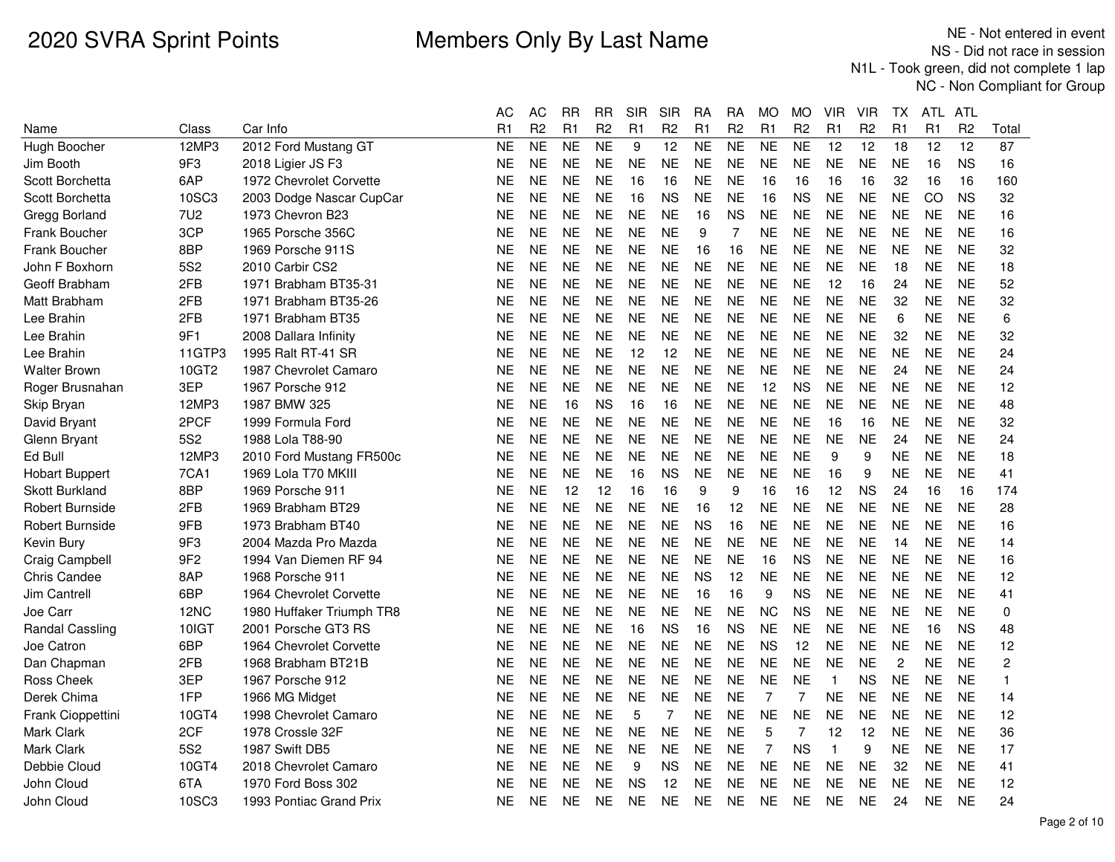|                        |                 |                           | АC        | AC             | RR             | RR             | SIR            | <b>SIR</b>     | RА        | RA             | MO             | <b>MO</b>      | VIR            | VIR            | TХ             | ATL.           | ATL            |                |
|------------------------|-----------------|---------------------------|-----------|----------------|----------------|----------------|----------------|----------------|-----------|----------------|----------------|----------------|----------------|----------------|----------------|----------------|----------------|----------------|
| Name                   | Class           | Car Info                  | R1        | R <sub>2</sub> | R <sub>1</sub> | R <sub>2</sub> | R <sub>1</sub> | R <sub>2</sub> | R1        | R <sub>2</sub> | R1             | R <sub>2</sub> | R <sub>1</sub> | R <sub>2</sub> | R1             | R <sub>1</sub> | R <sub>2</sub> | Total          |
| Hugh Boocher           | 12MP3           | 2012 Ford Mustang GT      | <b>NE</b> | <b>NE</b>      | <b>NE</b>      | <b>NE</b>      | 9              | 12             | <b>NE</b> | <b>NE</b>      | <b>NE</b>      | <b>NE</b>      | 12             | 12             | 18             | 12             | 12             | 87             |
| Jim Booth              | 9F3             | 2018 Ligier JS F3         | ΝE        | <b>NE</b>      | <b>NE</b>      | <b>NE</b>      | <b>NE</b>      | <b>NE</b>      | <b>NE</b> | <b>NE</b>      | <b>NE</b>      | <b>NE</b>      | <b>NE</b>      | <b>NE</b>      | <b>NE</b>      | 16             | <b>NS</b>      | 16             |
| Scott Borchetta        | 6AP             | 1972 Chevrolet Corvette   | ΝE        | <b>NE</b>      | <b>NE</b>      | <b>NE</b>      | 16             | 16             | <b>NE</b> | <b>NE</b>      | 16             | 16             | 16             | 16             | 32             | 16             | 16             | 160            |
| Scott Borchetta        | 10SC3           | 2003 Dodge Nascar CupCar  | ΝE        | <b>NE</b>      | <b>NE</b>      | <b>NE</b>      | 16             | <b>NS</b>      | <b>NE</b> | <b>NE</b>      | 16             | <b>NS</b>      | <b>NE</b>      | <b>NE</b>      | <b>NE</b>      | CO             | <b>NS</b>      | 32             |
| Gregg Borland          | 7U2             | 1973 Chevron B23          | NE.       | <b>NE</b>      | <b>NE</b>      | <b>NE</b>      | <b>NE</b>      | <b>NE</b>      | 16        | ΝS             | <b>NE</b>      | NE             | <b>NE</b>      | <b>NE</b>      | <b>NE</b>      | <b>NE</b>      | <b>NE</b>      | 16             |
| <b>Frank Boucher</b>   | 3CP             | 1965 Porsche 356C         | NE        | <b>NE</b>      | <b>NE</b>      | <b>NE</b>      | <b>NE</b>      | <b>NE</b>      | 9         | 7              | <b>NE</b>      | <b>NE</b>      | <b>NE</b>      | <b>NE</b>      | <b>NE</b>      | <b>NE</b>      | <b>NE</b>      | 16             |
| <b>Frank Boucher</b>   | 8BP             | 1969 Porsche 911S         | ΝE        | <b>NE</b>      | <b>NE</b>      | <b>NE</b>      | <b>NE</b>      | <b>NE</b>      | 16        | 16             | <b>NE</b>      | <b>NE</b>      | <b>NE</b>      | <b>NE</b>      | <b>NE</b>      | <b>NE</b>      | <b>NE</b>      | 32             |
| John F Boxhorn         | 5S <sub>2</sub> | 2010 Carbir CS2           | ΝE        | <b>NE</b>      | <b>NE</b>      | <b>NE</b>      | <b>NE</b>      | <b>NE</b>      | <b>NE</b> | <b>NE</b>      | <b>NE</b>      | <b>NE</b>      | <b>NE</b>      | <b>NE</b>      | 18             | <b>NE</b>      | <b>NE</b>      | 18             |
| Geoff Brabham          | 2FB             | 1971 Brabham BT35-31      | NE        | <b>NE</b>      | <b>NE</b>      | <b>NE</b>      | <b>NE</b>      | <b>NE</b>      | <b>NE</b> | <b>NE</b>      | <b>NE</b>      | <b>NE</b>      | 12             | 16             | 24             | <b>NE</b>      | <b>NE</b>      | 52             |
| Matt Brabham           | 2FB             | 1971 Brabham BT35-26      | NΕ        | <b>NE</b>      | <b>NE</b>      | <b>NE</b>      | <b>NE</b>      | <b>NE</b>      | <b>NE</b> | <b>NE</b>      | <b>NE</b>      | <b>NE</b>      | <b>NE</b>      | <b>NE</b>      | 32             | <b>NE</b>      | <b>NE</b>      | 32             |
| Lee Brahin             | 2FB             | 1971 Brabham BT35         | NE        | <b>NE</b>      | <b>NE</b>      | <b>NE</b>      | <b>NE</b>      | <b>NE</b>      | <b>NE</b> | <b>NE</b>      | <b>NE</b>      | <b>NE</b>      | <b>NE</b>      | <b>NE</b>      | 6              | <b>NE</b>      | <b>NE</b>      | 6              |
| Lee Brahin             | 9F1             | 2008 Dallara Infinity     | NE        | <b>NE</b>      | <b>NE</b>      | <b>NE</b>      | <b>NE</b>      | <b>NE</b>      | <b>NE</b> | <b>NE</b>      | <b>NE</b>      | <b>NE</b>      | <b>NE</b>      | <b>NE</b>      | 32             | <b>NE</b>      | <b>NE</b>      | 32             |
| Lee Brahin             | 11GTP3          | 1995 Ralt RT-41 SR        | NE        | <b>NE</b>      | <b>NE</b>      | <b>NE</b>      | 12             | 12             | <b>NE</b> | <b>NE</b>      | <b>NE</b>      | <b>NE</b>      | <b>NE</b>      | <b>NE</b>      | <b>NE</b>      | <b>NE</b>      | <b>NE</b>      | 24             |
| <b>Walter Brown</b>    | 10GT2           | 1987 Chevrolet Camaro     | <b>NE</b> | <b>NE</b>      | <b>NE</b>      | <b>NE</b>      | <b>NE</b>      | <b>NE</b>      | <b>NE</b> | <b>NE</b>      | <b>NE</b>      | <b>NE</b>      | <b>NE</b>      | <b>NE</b>      | 24             | <b>NE</b>      | <b>NE</b>      | 24             |
| Roger Brusnahan        | 3EP             | 1967 Porsche 912          | NE        | <b>NE</b>      | <b>NE</b>      | <b>NE</b>      | <b>NE</b>      | <b>NE</b>      | <b>NE</b> | <b>NE</b>      | 12             | <b>NS</b>      | <b>NE</b>      | <b>NE</b>      | <b>NE</b>      | <b>NE</b>      | <b>NE</b>      | 12             |
| Skip Bryan             | 12MP3           | 1987 BMW 325              | NE.       | <b>NE</b>      | 16             | ΝS             | 16             | 16             | <b>NE</b> | <b>NE</b>      | <b>NE</b>      | <b>NE</b>      | <b>NE</b>      | <b>NE</b>      | <b>NE</b>      | <b>NE</b>      | <b>NE</b>      | 48             |
| David Bryant           | 2PCF            | 1999 Formula Ford         | ΝE        | <b>NE</b>      | <b>NE</b>      | <b>NE</b>      | <b>NE</b>      | <b>NE</b>      | <b>NE</b> | <b>NE</b>      | <b>NE</b>      | <b>NE</b>      | 16             | 16             | <b>NE</b>      | <b>NE</b>      | <b>NE</b>      | 32             |
| Glenn Bryant           | 5S <sub>2</sub> | 1988 Lola T88-90          | NE        | <b>NE</b>      | <b>NE</b>      | <b>NE</b>      | <b>NE</b>      | <b>NE</b>      | <b>NE</b> | <b>NE</b>      | <b>NE</b>      | <b>NE</b>      | <b>NE</b>      | <b>NE</b>      | 24             | <b>NE</b>      | <b>NE</b>      | 24             |
| Ed Bull                | 12MP3           | 2010 Ford Mustang FR500c  | ΝE        | <b>NE</b>      | NE             | <b>NE</b>      | <b>NE</b>      | NE.            | <b>NE</b> | <b>NE</b>      | <b>NE</b>      | NE.            | 9              | 9              | NE             | <b>NE</b>      | <b>NE</b>      | 18             |
| <b>Hobart Buppert</b>  | 7CA1            | 1969 Lola T70 MKIII       | ΝE        | <b>NE</b>      | <b>NE</b>      | <b>NE</b>      | 16             | <b>NS</b>      | <b>NE</b> | <b>NE</b>      | <b>NE</b>      | <b>NE</b>      | 16             | 9              | <b>NE</b>      | <b>NE</b>      | <b>NE</b>      | 41             |
| <b>Skott Burkland</b>  | 8BP             | 1969 Porsche 911          | NE        | <b>NE</b>      | 12             | 12             | 16             | 16             | 9         | 9              | 16             | 16             | 12             | <b>NS</b>      | 24             | 16             | 16             | 174            |
| <b>Robert Burnside</b> | 2FB             | 1969 Brabham BT29         | NΕ        | <b>NE</b>      | <b>NE</b>      | <b>NE</b>      | <b>NE</b>      | <b>NE</b>      | 16        | 12             | <b>NE</b>      | <b>NE</b>      | <b>NE</b>      | <b>NE</b>      | <b>NE</b>      | <b>NE</b>      | <b>NE</b>      | 28             |
| Robert Burnside        | 9FB             | 1973 Brabham BT40         | <b>NE</b> | <b>NE</b>      | <b>NE</b>      | <b>NE</b>      | <b>NE</b>      | <b>NE</b>      | <b>NS</b> | 16             | <b>NE</b>      | <b>NE</b>      | <b>NE</b>      | <b>NE</b>      | <b>NE</b>      | <b>NE</b>      | <b>NE</b>      | 16             |
| Kevin Bury             | 9F3             | 2004 Mazda Pro Mazda      | NE        | <b>NE</b>      | <b>NE</b>      | <b>NE</b>      | <b>NE</b>      | <b>NE</b>      | <b>NE</b> | NE             | <b>NE</b>      | <b>NE</b>      | <b>NE</b>      | <b>NE</b>      | 14             | <b>NE</b>      | <b>NE</b>      | 14             |
| Craig Campbell         | 9F <sub>2</sub> | 1994 Van Diemen RF 94     | ΝE        | <b>NE</b>      | <b>NE</b>      | <b>NE</b>      | <b>NE</b>      | <b>NE</b>      | <b>NE</b> | <b>NE</b>      | 16             | <b>NS</b>      | <b>NE</b>      | <b>NE</b>      | <b>NE</b>      | <b>NE</b>      | <b>NE</b>      | 16             |
| Chris Candee           | 8AP             | 1968 Porsche 911          | <b>NE</b> | <b>NE</b>      | <b>NE</b>      | <b>NE</b>      | <b>NE</b>      | <b>NE</b>      | <b>NS</b> | 12             | <b>NE</b>      | <b>NE</b>      | <b>NE</b>      | <b>NE</b>      | <b>NE</b>      | <b>NE</b>      | <b>NE</b>      | 12             |
| Jim Cantrell           | 6BP             | 1964 Chevrolet Corvette   | NE        | <b>NE</b>      | <b>NE</b>      | <b>NE</b>      | <b>NE</b>      | <b>NE</b>      | 16        | 16             | 9              | <b>NS</b>      | <b>NE</b>      | <b>NE</b>      | <b>NE</b>      | <b>NE</b>      | <b>NE</b>      | 41             |
| Joe Carr               | 12NC            | 1980 Huffaker Triumph TR8 | ΝE        | <b>NE</b>      | <b>NE</b>      | <b>NE</b>      | <b>NE</b>      | <b>NE</b>      | <b>NE</b> | <b>NE</b>      | <b>NC</b>      | <b>NS</b>      | <b>NE</b>      | <b>NE</b>      | <b>NE</b>      | <b>NE</b>      | <b>NE</b>      | 0              |
| <b>Randal Cassling</b> | 10IGT           | 2001 Porsche GT3 RS       | NE        | <b>NE</b>      | <b>NE</b>      | <b>NE</b>      | 16             | <b>NS</b>      | 16        | <b>NS</b>      | <b>NE</b>      | <b>NE</b>      | <b>NE</b>      | <b>NE</b>      | <b>NE</b>      | 16             | <b>NS</b>      | 48             |
| Joe Catron             | 6BP             | 1964 Chevrolet Corvette   | NE        | <b>NE</b>      | <b>NE</b>      | <b>NE</b>      | <b>NE</b>      | <b>NE</b>      | <b>NE</b> | <b>NE</b>      | <b>NS</b>      | 12             | <b>NE</b>      | <b>NE</b>      | <b>NE</b>      | <b>NE</b>      | <b>NE</b>      | 12             |
| Dan Chapman            | 2FB             | 1968 Brabham BT21B        | ΝE        | <b>NE</b>      | <b>NE</b>      | <b>NE</b>      | <b>NE</b>      | <b>NE</b>      | <b>NE</b> | <b>NE</b>      | <b>NE</b>      | <b>NE</b>      | <b>NE</b>      | <b>NE</b>      | $\overline{c}$ | <b>NE</b>      | <b>NE</b>      | $\overline{c}$ |
| <b>Ross Cheek</b>      | 3EP             | 1967 Porsche 912          | NE        | <b>NE</b>      | <b>NE</b>      | <b>NE</b>      | <b>NE</b>      | <b>NE</b>      | <b>NE</b> | <b>NE</b>      | <b>NE</b>      | <b>NE</b>      | $\mathbf{1}$   | <b>NS</b>      | <b>NE</b>      | <b>NE</b>      | <b>NE</b>      | 1              |
| Derek Chima            | 1FP             | 1966 MG Midget            | NE        | <b>NE</b>      | <b>NE</b>      | <b>NE</b>      | <b>NE</b>      | <b>NE</b>      | <b>NE</b> | <b>NE</b>      | $\overline{7}$ | 7              | <b>NE</b>      | <b>NE</b>      | <b>NE</b>      | <b>NE</b>      | <b>NE</b>      | 14             |
| Frank Cioppettini      | 10GT4           | 1998 Chevrolet Camaro     | NE        | <b>NE</b>      | <b>NE</b>      | <b>NE</b>      | 5              | 7              | <b>NE</b> | NE             | <b>NE</b>      | NE             | <b>NE</b>      | <b>NE</b>      | <b>NE</b>      | <b>NE</b>      | <b>NE</b>      | 12             |
| Mark Clark             | 2CF             | 1978 Crossle 32F          | NE        | <b>NE</b>      | <b>NE</b>      | <b>NE</b>      | <b>NE</b>      | <b>NE</b>      | <b>NE</b> | <b>NE</b>      | 5              | 7              | 12             | 12             | <b>NE</b>      | <b>NE</b>      | <b>NE</b>      | 36             |
| <b>Mark Clark</b>      | 5S <sub>2</sub> | 1987 Swift DB5            | NE.       | <b>NE</b>      | <b>NE</b>      | <b>NE</b>      | <b>NE</b>      | <b>NE</b>      | <b>NE</b> | <b>NE</b>      | $\overline{7}$ | <b>NS</b>      | $\mathbf{1}$   | 9              | <b>NE</b>      | <b>NE</b>      | <b>NE</b>      | 17             |
| Debbie Cloud           | 10GT4           | 2018 Chevrolet Camaro     | ΝE        | <b>NE</b>      | <b>NE</b>      | <b>NE</b>      | 9              | <b>NS</b>      | <b>NE</b> | <b>NE</b>      | <b>NE</b>      | <b>NE</b>      | <b>NE</b>      | <b>NE</b>      | 32             | <b>NE</b>      | <b>NE</b>      | 41             |
| John Cloud             | 6TA             | 1970 Ford Boss 302        | NE        | <b>NE</b>      | <b>NE</b>      | <b>NE</b>      | <b>NS</b>      | 12             | <b>NE</b> | <b>NE</b>      | <b>NE</b>      | <b>NE</b>      | <b>NE</b>      | <b>NE</b>      | <b>NE</b>      | <b>NE</b>      | <b>NE</b>      | 12             |
| John Cloud             | 10SC3           | 1993 Pontiac Grand Prix   | NE.       | <b>NE</b>      | NE             | NE             | <b>NE</b>      | NE.            | <b>NE</b> | <b>NE</b>      | <b>NE</b>      | NE.            | <b>NE</b>      | NE             | 24             | <b>NE</b>      | <b>NE</b>      | 24             |
|                        |                 |                           |           |                |                |                |                |                |           |                |                |                |                |                |                |                |                |                |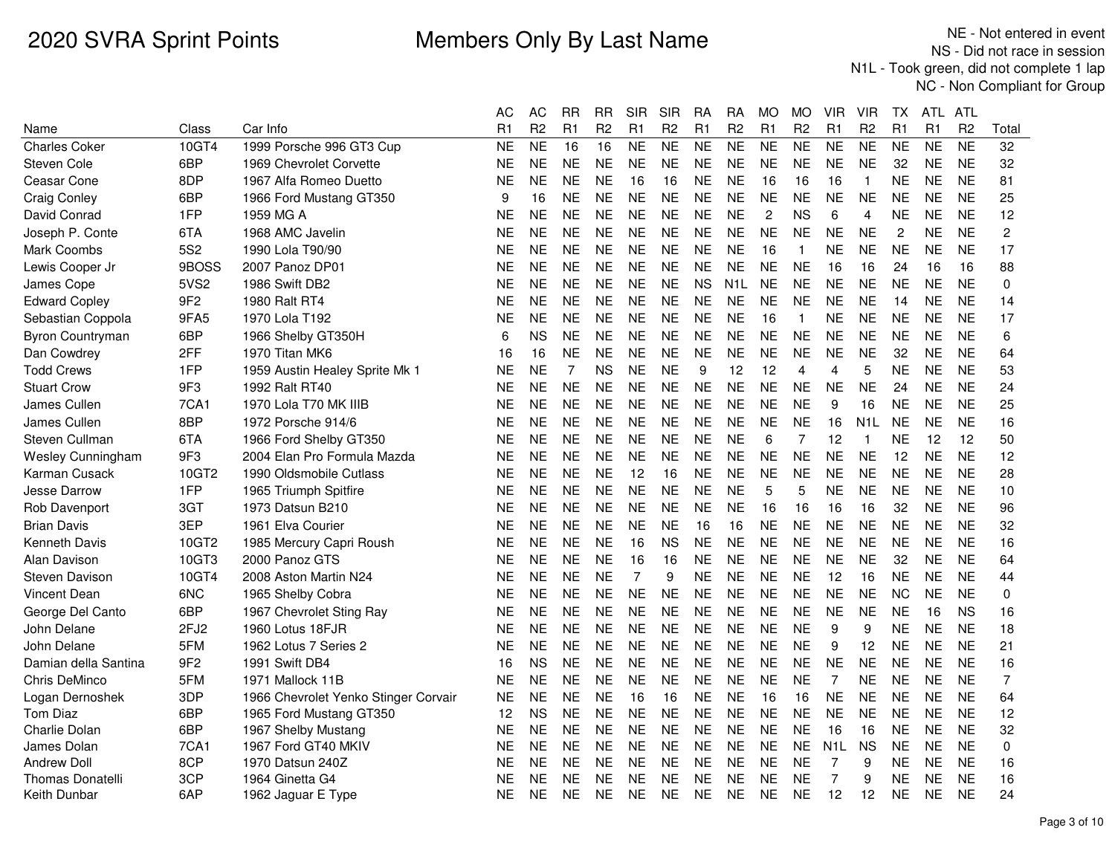|                          |                 |                                      | АC        | <b>AC</b>      | <b>RR</b> | <b>RR</b>      | <b>SIR</b>     | SIR            | RA             | <b>RA</b>        | МO                  | <b>MO</b>      | VIR              | <b>VIR</b>       | ТX               | ATL            | ATL             |                |
|--------------------------|-----------------|--------------------------------------|-----------|----------------|-----------|----------------|----------------|----------------|----------------|------------------|---------------------|----------------|------------------|------------------|------------------|----------------|-----------------|----------------|
| Name                     | Class           | Car Info                             | R1        | R <sub>2</sub> | R1        | R <sub>2</sub> | R1             | R <sub>2</sub> | R1             | R <sub>2</sub>   | R1                  | R <sub>2</sub> | R1               | R <sub>2</sub>   | R1               | R <sub>1</sub> | R <sub>2</sub>  | Total          |
| <b>Charles Coker</b>     | 10GT4           | 1999 Porsche 996 GT3 Cup             | <b>NE</b> | <b>NE</b>      | 16        | 16             | N <sub>E</sub> | <b>NE</b>      | N <sub>E</sub> | N <sub>E</sub>   | $\overline{\sf NE}$ | <b>NE</b>      | <b>NE</b>        | N <sub>E</sub>   | <b>NE</b>        | <b>NE</b>      | $\overline{NE}$ | 32             |
| Steven Cole              | 6BP             | 1969 Chevrolet Corvette              | NE        | <b>NE</b>      | <b>NE</b> | <b>NE</b>      | <b>NE</b>      | <b>NE</b>      | <b>NE</b>      | <b>NE</b>        | <b>NE</b>           | NE             | <b>NE</b>        | <b>NE</b>        | 32               | <b>NE</b>      | <b>NE</b>       | 32             |
| Ceasar Cone              | 8DP             | 1967 Alfa Romeo Duetto               | NE        | <b>NE</b>      | <b>NE</b> | <b>NE</b>      | 16             | 16             | <b>NE</b>      | <b>NE</b>        | 16                  | 16             | 16               | $\mathbf{1}$     | <b>NE</b>        | <b>NE</b>      | <b>NE</b>       | 81             |
| <b>Craig Conley</b>      | 6BP             | 1966 Ford Mustang GT350              | 9         | 16             | <b>NE</b> | <b>NE</b>      | <b>NE</b>      | <b>NE</b>      | <b>NE</b>      | <b>NE</b>        | <b>NE</b>           | <b>NE</b>      | <b>NE</b>        | <b>NE</b>        | <b>NE</b>        | <b>NE</b>      | <b>NE</b>       | 25             |
| David Conrad             | 1FP             | 1959 MG A                            | NE        | <b>NE</b>      | <b>NE</b> | <b>NE</b>      | <b>NE</b>      | <b>NE</b>      | <b>NE</b>      | <b>NE</b>        | $\overline{c}$      | <b>NS</b>      | 6                | $\overline{4}$   | <b>NE</b>        | <b>NE</b>      | <b>NE</b>       | 12             |
| Joseph P. Conte          | 6TA             | 1968 AMC Javelin                     | NE        | <b>NE</b>      | <b>NE</b> | <b>NE</b>      | <b>NE</b>      | <b>NE</b>      | <b>NE</b>      | <b>NE</b>        | <b>NE</b>           | <b>NE</b>      | <b>NE</b>        | <b>NE</b>        | $\boldsymbol{2}$ | <b>NE</b>      | <b>NE</b>       | $\overline{c}$ |
| Mark Coombs              | 5S <sub>2</sub> | 1990 Lola T90/90                     | NE        | <b>NE</b>      | <b>NE</b> | <b>NE</b>      | <b>NE</b>      | <b>NE</b>      | <b>NE</b>      | <b>NE</b>        | 16                  | $\mathbf 1$    | <b>NE</b>        | <b>NE</b>        | <b>NE</b>        | <b>NE</b>      | <b>NE</b>       | 17             |
| Lewis Cooper Jr          | 9BOSS           | 2007 Panoz DP01                      | NΕ        | <b>NE</b>      | <b>NE</b> | <b>NE</b>      | <b>NE</b>      | <b>NE</b>      | <b>NE</b>      | <b>NE</b>        | <b>NE</b>           | <b>NE</b>      | 16               | 16               | 24               | 16             | 16              | 88             |
| James Cope               | 5VS2            | 1986 Swift DB2                       | NE        | <b>NE</b>      | <b>NE</b> | <b>NE</b>      | <b>NE</b>      | <b>NE</b>      | <b>NS</b>      | N <sub>1</sub> L | <b>NE</b>           | <b>NE</b>      | <b>NE</b>        | <b>NE</b>        | <b>NE</b>        | <b>NE</b>      | <b>NE</b>       | $\mathbf 0$    |
| <b>Edward Copley</b>     | 9F <sub>2</sub> | 1980 Ralt RT4                        | NE        | <b>NE</b>      | <b>NE</b> | <b>NE</b>      | <b>NE</b>      | <b>NE</b>      | <b>NE</b>      | <b>NE</b>        | <b>NE</b>           | <b>NE</b>      | <b>NE</b>        | <b>NE</b>        | 14               | <b>NE</b>      | <b>NE</b>       | 14             |
| Sebastian Coppola        | 9FA5            | 1970 Lola T192                       | ΝE        | <b>NE</b>      | <b>NE</b> | <b>NE</b>      | <b>NE</b>      | <b>NE</b>      | <b>NE</b>      | <b>NE</b>        | 16                  | $\mathbf{1}$   | <b>NE</b>        | <b>NE</b>        | <b>NE</b>        | <b>NE</b>      | <b>NE</b>       | 17             |
| Byron Countryman         | 6BP             | 1966 Shelby GT350H                   | 6         | <b>NS</b>      | <b>NE</b> | <b>NE</b>      | <b>NE</b>      | <b>NE</b>      | <b>NE</b>      | <b>NE</b>        | <b>NE</b>           | <b>NE</b>      | <b>NE</b>        | <b>NE</b>        | <b>NE</b>        | <b>NE</b>      | <b>NE</b>       | 6              |
| Dan Cowdrey              | 2FF             | 1970 Titan MK6                       | 16        | 16             | <b>NE</b> | <b>NE</b>      | <b>NE</b>      | <b>NE</b>      | <b>NE</b>      | <b>NE</b>        | <b>NE</b>           | <b>NE</b>      | <b>NE</b>        | <b>NE</b>        | 32               | <b>NE</b>      | <b>NE</b>       | 64             |
| <b>Todd Crews</b>        | 1FP             | 1959 Austin Healey Sprite Mk 1       | NΕ        | <b>NE</b>      | 7         | <b>NS</b>      | <b>NE</b>      | <b>NE</b>      | 9              | 12               | 12                  | 4              | 4                | 5                | NΕ.              | <b>NE</b>      | <b>NE</b>       | 53             |
| <b>Stuart Crow</b>       | 9F <sub>3</sub> | 1992 Ralt RT40                       | NE        | <b>NE</b>      | <b>NE</b> | <b>NE</b>      | <b>NE</b>      | <b>NE</b>      | <b>NE</b>      | <b>NE</b>        | <b>NE</b>           | <b>NE</b>      | <b>NE</b>        | <b>NE</b>        | 24               | NE.            | <b>NE</b>       | 24             |
| James Cullen             | 7CA1            | 1970 Lola T70 MK IIIB                | NE        | <b>NE</b>      | <b>NE</b> | <b>NE</b>      | <b>NE</b>      | <b>NE</b>      | <b>NE</b>      | <b>NE</b>        | <b>NE</b>           | <b>NE</b>      | 9                | 16               | <b>NE</b>        | <b>NE</b>      | <b>NE</b>       | 25             |
| James Cullen             | 8BP             | 1972 Porsche 914/6                   | NE        | <b>NE</b>      | <b>NE</b> | <b>NE</b>      | <b>NE</b>      | <b>NE</b>      | <b>NE</b>      | <b>NE</b>        | <b>NE</b>           | <b>NE</b>      | 16               | N <sub>1</sub> L | <b>NE</b>        | NE.            | <b>NE</b>       | 16             |
| Steven Cullman           | 6TA             | 1966 Ford Shelby GT350               | NΕ        | <b>NE</b>      | <b>NE</b> | <b>NE</b>      | <b>NE</b>      | <b>NE</b>      | <b>NE</b>      | <b>NE</b>        | 6                   | 7              | 12               | $\mathbf{1}$     | <b>NE</b>        | 12             | 12              | 50             |
| <b>Wesley Cunningham</b> | 9F <sub>3</sub> | 2004 Elan Pro Formula Mazda          | ΝE        | <b>NE</b>      | <b>NE</b> | <b>NE</b>      | <b>NE</b>      | <b>NE</b>      | <b>NE</b>      | <b>NE</b>        | <b>NE</b>           | <b>NE</b>      | <b>NE</b>        | <b>NE</b>        | 12               | <b>NE</b>      | <b>NE</b>       | 12             |
| Karman Cusack            | 10GT2           | 1990 Oldsmobile Cutlass              | NE        | <b>NE</b>      | <b>NE</b> | <b>NE</b>      | 12             | 16             | <b>NE</b>      | <b>NE</b>        | <b>NE</b>           | <b>NE</b>      | <b>NE</b>        | <b>NE</b>        | <b>NE</b>        | <b>NE</b>      | <b>NE</b>       | 28             |
| <b>Jesse Darrow</b>      | 1FP             | 1965 Triumph Spitfire                | ΝE        | <b>NE</b>      | <b>NE</b> | <b>NE</b>      | <b>NE</b>      | <b>NE</b>      | <b>NE</b>      | <b>NE</b>        | 5                   | 5              | <b>NE</b>        | <b>NE</b>        | <b>NE</b>        | <b>NE</b>      | <b>NE</b>       | 10             |
| Rob Davenport            | 3GT             | 1973 Datsun B210                     | NE        | <b>NE</b>      | <b>NE</b> | <b>NE</b>      | <b>NE</b>      | <b>NE</b>      | <b>NE</b>      | <b>NE</b>        | 16                  | 16             | 16               | 16               | 32               | <b>NE</b>      | <b>NE</b>       | 96             |
| <b>Brian Davis</b>       | 3EP             | 1961 Elva Courier                    | NΕ        | <b>NE</b>      | <b>NE</b> | <b>NE</b>      | <b>NE</b>      | <b>NE</b>      | 16             | 16               | <b>NE</b>           | <b>NE</b>      | <b>NE</b>        | <b>NE</b>        | <b>NE</b>        | <b>NE</b>      | <b>NE</b>       | 32             |
| <b>Kenneth Davis</b>     | 10GT2           | 1985 Mercury Capri Roush             | ΝE        | <b>NE</b>      | <b>NE</b> | <b>NE</b>      | 16             | <b>NS</b>      | <b>NE</b>      | <b>NE</b>        | <b>NE</b>           | <b>NE</b>      | <b>NE</b>        | <b>NE</b>        | <b>NE</b>        | <b>NE</b>      | <b>NE</b>       | 16             |
| Alan Davison             | 10GT3           | 2000 Panoz GTS                       | NE        | <b>NE</b>      | <b>NE</b> | <b>NE</b>      | 16             | 16             | <b>NE</b>      | <b>NE</b>        | <b>NE</b>           | <b>NE</b>      | <b>NE</b>        | <b>NE</b>        | 32               | <b>NE</b>      | <b>NE</b>       | 64             |
| Steven Davison           | 10GT4           | 2008 Aston Martin N24                | NΕ        | <b>NE</b>      | <b>NE</b> | <b>NE</b>      | $\overline{7}$ | 9              | <b>NE</b>      | <b>NE</b>        | <b>NE</b>           | NE             | 12               | 16               | NΕ               | NE.            | <b>NE</b>       | 44             |
| <b>Vincent Dean</b>      | 6NC             | 1965 Shelby Cobra                    | ΝE        | <b>NE</b>      | <b>NE</b> | <b>NE</b>      | <b>NE</b>      | <b>NE</b>      | <b>NE</b>      | <b>NE</b>        | <b>NE</b>           | <b>NE</b>      | <b>NE</b>        | <b>NE</b>        | <b>NC</b>        | <b>NE</b>      | <b>NE</b>       | $\mathbf 0$    |
| George Del Canto         | 6BP             | 1967 Chevrolet Sting Ray             | NE        | <b>NE</b>      | <b>NE</b> | <b>NE</b>      | <b>NE</b>      | <b>NE</b>      | <b>NE</b>      | <b>NE</b>        | <b>NE</b>           | <b>NE</b>      | <b>NE</b>        | <b>NE</b>        | <b>NE</b>        | 16             | <b>NS</b>       | 16             |
| John Delane              | 2FJ2            | 1960 Lotus 18FJR                     | NE        | <b>NE</b>      | <b>NE</b> | <b>NE</b>      | <b>NE</b>      | <b>NE</b>      | <b>NE</b>      | <b>NE</b>        | <b>NE</b>           | <b>NE</b>      | 9                | 9                | <b>NE</b>        | <b>NE</b>      | <b>NE</b>       | 18             |
| John Delane              | 5FM             | 1962 Lotus 7 Series 2                | NE        | <b>NE</b>      | <b>NE</b> | <b>NE</b>      | <b>NE</b>      | <b>NE</b>      | <b>NE</b>      | <b>NE</b>        | <b>NE</b>           | <b>NE</b>      | 9                | 12               | <b>NE</b>        | <b>NE</b>      | <b>NE</b>       | 21             |
| Damian della Santina     | 9F <sub>2</sub> | 1991 Swift DB4                       | 16        | <b>NS</b>      | <b>NE</b> | <b>NE</b>      | <b>NE</b>      | <b>NE</b>      | <b>NE</b>      | <b>NE</b>        | <b>NE</b>           | <b>NE</b>      | <b>NE</b>        | <b>NE</b>        | <b>NE</b>        | <b>NE</b>      | <b>NE</b>       | 16             |
| Chris DeMinco            | 5FM             | 1971 Mallock 11B                     | NE        | <b>NE</b>      | <b>NE</b> | <b>NE</b>      | <b>NE</b>      | <b>NE</b>      | <b>NE</b>      | <b>NE</b>        | <b>NE</b>           | <b>NE</b>      | $\overline{7}$   | <b>NE</b>        | <b>NE</b>        | <b>NE</b>      | <b>NE</b>       | $\overline{7}$ |
| Logan Dernoshek          | 3DP             | 1966 Chevrolet Yenko Stinger Corvair | NE        | <b>NE</b>      | <b>NE</b> | <b>NE</b>      | 16             | 16             | <b>NE</b>      | <b>NE</b>        | 16                  | 16             | <b>NE</b>        | <b>NE</b>        | <b>NE</b>        | <b>NE</b>      | <b>NE</b>       | 64             |
| <b>Tom Diaz</b>          | 6BP             | 1965 Ford Mustang GT350              | 12        | <b>NS</b>      | <b>NE</b> | <b>NE</b>      | <b>NE</b>      | <b>NE</b>      | <b>NE</b>      | <b>NE</b>        | <b>NE</b>           | NE             | <b>NE</b>        | <b>NE</b>        | NΕ               | <b>NE</b>      | <b>NE</b>       | 12             |
| Charlie Dolan            | 6BP             | 1967 Shelby Mustang                  | NE        | <b>NE</b>      | <b>NE</b> | <b>NE</b>      | <b>NE</b>      | <b>NE</b>      | <b>NE</b>      | <b>NE</b>        | <b>NE</b>           | <b>NE</b>      | 16               | 16               | <b>NE</b>        | <b>NE</b>      | <b>NE</b>       | 32             |
| James Dolan              | 7CA1            | 1967 Ford GT40 MKIV                  | ΝE        | <b>NE</b>      | <b>NE</b> | <b>NE</b>      | <b>NE</b>      | <b>NE</b>      | <b>NE</b>      | <b>NE</b>        | <b>NE</b>           | <b>NE</b>      | N <sub>1</sub> L | <b>NS</b>        | <b>NE</b>        | NE.            | <b>NE</b>       | $\mathbf 0$    |
| <b>Andrew Doll</b>       | 8CP             | 1970 Datsun 240Z                     | NE        | <b>NE</b>      | <b>NE</b> | <b>NE</b>      | <b>NE</b>      | <b>NE</b>      | <b>NE</b>      | <b>NE</b>        | <b>NE</b>           | <b>NE</b>      | 7                | 9                | <b>NE</b>        | <b>NE</b>      | <b>NE</b>       | 16             |
| <b>Thomas Donatelli</b>  | 3CP             | 1964 Ginetta G4                      | NE        | <b>NE</b>      | <b>NE</b> | <b>NE</b>      | <b>NE</b>      | <b>NE</b>      | <b>NE</b>      | <b>NE</b>        | <b>NE</b>           | <b>NE</b>      | $\overline{7}$   | 9                | <b>NE</b>        | <b>NE</b>      | <b>NE</b>       | 16             |
| Keith Dunbar             | 6AP             | 1962 Jaguar E Type                   | ΝE        | <b>NE</b>      | <b>NE</b> | <b>NE</b>      | <b>NE</b>      | <b>NE</b>      | <b>NE</b>      | <b>NE</b>        | <b>NE</b>           | <b>NE</b>      | 12               | 12               | <b>NE</b>        | <b>NE</b>      | <b>NE</b>       | 24             |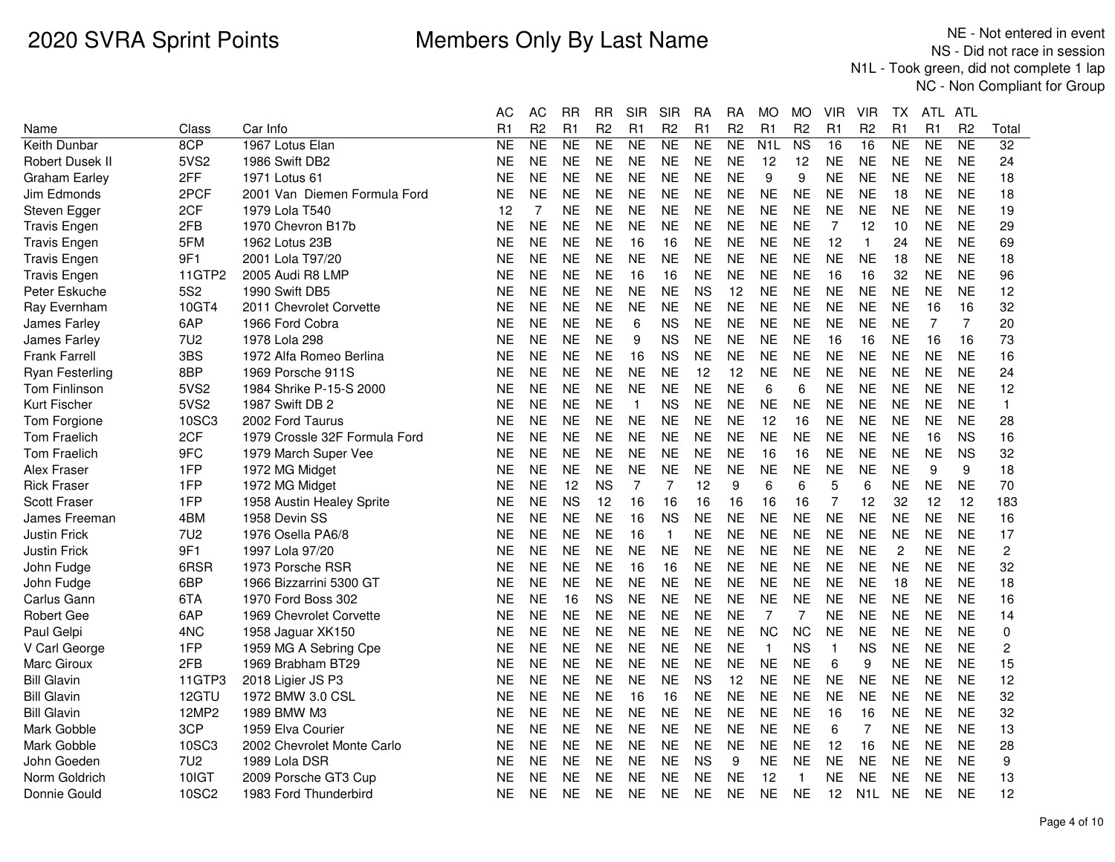|                        |                 |                               | AC             | <b>AC</b>      | <b>RR</b> | <b>RR</b>      | <b>SIR</b>   | <b>SIR</b>     | RA        | RA             | <b>MO</b>      | <b>MO</b>               | VIR            | VIR              | ТX             | ATL            | ATL            |                |
|------------------------|-----------------|-------------------------------|----------------|----------------|-----------|----------------|--------------|----------------|-----------|----------------|----------------|-------------------------|----------------|------------------|----------------|----------------|----------------|----------------|
| Name                   | Class           | Car Info                      | R <sub>1</sub> | R <sub>2</sub> | R1        | R <sub>2</sub> | R1           | R <sub>2</sub> | R1        | R <sub>2</sub> | R1             | R <sub>2</sub>          | R1             | R <sub>2</sub>   | R <sub>1</sub> | R <sub>1</sub> | R <sub>2</sub> | Total          |
| Keith Dunbar           | 8CP             | 1967 Lotus Elan               | <b>NE</b>      | <b>NE</b>      | <b>NE</b> | <b>NE</b>      | <b>NE</b>    | <b>NE</b>      | <b>NE</b> | <b>NE</b>      | N <sub>1</sub> | N <sub>S</sub>          | 16             | 16               | <b>NE</b>      | NE             | <b>NE</b>      | 32             |
| Robert Dusek II        | 5VS2            | 1986 Swift DB2                | <b>NE</b>      | <b>NE</b>      | <b>NE</b> | <b>NE</b>      | <b>NE</b>    | <b>NE</b>      | <b>NE</b> | <b>NE</b>      | 12             | 12                      | <b>NE</b>      | <b>NE</b>        | <b>NE</b>      | <b>NE</b>      | <b>NE</b>      | 24             |
| Graham Earley          | 2FF             | 1971 Lotus 61                 | <b>NE</b>      | <b>NE</b>      | <b>NE</b> | <b>NE</b>      | <b>NE</b>    | <b>NE</b>      | <b>NE</b> | <b>NE</b>      | 9              | 9                       | <b>NE</b>      | <b>NE</b>        | <b>NE</b>      | <b>NE</b>      | <b>NE</b>      | 18             |
| Jim Edmonds            | 2PCF            | 2001 Van Diemen Formula Ford  | <b>NE</b>      | <b>NE</b>      | <b>NE</b> | <b>NE</b>      | <b>NE</b>    | <b>NE</b>      | <b>NE</b> | <b>NE</b>      | <b>NE</b>      | <b>NE</b>               | <b>NE</b>      | <b>NE</b>        | 18             | <b>NE</b>      | <b>NE</b>      | 18             |
| Steven Egger           | 2CF             | 1979 Lola T540                | 12             | 7              | <b>NE</b> | <b>NE</b>      | <b>NE</b>    | <b>NE</b>      | <b>NE</b> | <b>NE</b>      | <b>NE</b>      | <b>NE</b>               | <b>NE</b>      | <b>NE</b>        | <b>NE</b>      | <b>NE</b>      | <b>NE</b>      | 19             |
| <b>Travis Engen</b>    | 2FB             | 1970 Chevron B17b             | <b>NE</b>      | <b>NE</b>      | <b>NE</b> | <b>NE</b>      | <b>NE</b>    | <b>NE</b>      | <b>NE</b> | <b>NE</b>      | <b>NE</b>      | <b>NE</b>               | 7              | 12               | 10             | <b>NE</b>      | <b>NE</b>      | 29             |
| <b>Travis Engen</b>    | 5FM             | 1962 Lotus 23B                | <b>NE</b>      | <b>NE</b>      | <b>NE</b> | <b>NE</b>      | 16           | 16             | <b>NE</b> | <b>NE</b>      | <b>NE</b>      | <b>NE</b>               | 12             | $\mathbf{1}$     | 24             | <b>NE</b>      | <b>NE</b>      | 69             |
| <b>Travis Engen</b>    | 9F1             | 2001 Lola T97/20              | <b>NE</b>      | <b>NE</b>      | <b>NE</b> | <b>NE</b>      | <b>NE</b>    | <b>NE</b>      | <b>NE</b> | <b>NE</b>      | <b>NE</b>      | <b>NE</b>               | <b>NE</b>      | <b>NE</b>        | 18             | <b>NE</b>      | <b>NE</b>      | 18             |
| Travis Engen           | 11GTP2          | 2005 Audi R8 LMP              | NE             | <b>NE</b>      | <b>NE</b> | NE             | 16           | 16             | NE        | <b>NE</b>      | <b>NE</b>      | NE                      | 16             | 16               | 32             | <b>NE</b>      | <b>NE</b>      | 96             |
| Peter Eskuche          | <b>5S2</b>      | 1990 Swift DB5                | <b>NE</b>      | <b>NE</b>      | <b>NE</b> | <b>NE</b>      | <b>NE</b>    | <b>NE</b>      | <b>NS</b> | 12             | <b>NE</b>      | <b>NE</b>               | <b>NE</b>      | <b>NE</b>        | <b>NE</b>      | <b>NE</b>      | <b>NE</b>      | 12             |
| Ray Evernham           | 10GT4           | 2011 Chevrolet Corvette       | <b>NE</b>      | <b>NE</b>      | <b>NE</b> | <b>NE</b>      | <b>NE</b>    | <b>NE</b>      | <b>NE</b> | <b>NE</b>      | <b>NE</b>      | <b>NE</b>               | <b>NE</b>      | <b>NE</b>        | <b>NE</b>      | 16             | 16             | 32             |
| James Farley           | 6AP             | 1966 Ford Cobra               | <b>NE</b>      | <b>NE</b>      | <b>NE</b> | <b>NE</b>      | 6            | <b>NS</b>      | <b>NE</b> | <b>NE</b>      | <b>NE</b>      | <b>NE</b>               | <b>NE</b>      | <b>NE</b>        | <b>NE</b>      | $\overline{7}$ | $\overline{7}$ | 20             |
| James Farley           | 7U <sub>2</sub> | 1978 Lola 298                 | <b>NE</b>      | <b>NE</b>      | <b>NE</b> | <b>NE</b>      | 9            | <b>NS</b>      | <b>NE</b> | <b>NE</b>      | <b>NE</b>      | <b>NE</b>               | 16             | 16               | <b>NE</b>      | 16             | 16             | 73             |
| <b>Frank Farrell</b>   | 3BS             | 1972 Alfa Romeo Berlina       | <b>NE</b>      | <b>NE</b>      | <b>NE</b> | <b>NE</b>      | 16           | <b>NS</b>      | <b>NE</b> | <b>NE</b>      | <b>NE</b>      | <b>NE</b>               | <b>NE</b>      | <b>NE</b>        | <b>NE</b>      | <b>NE</b>      | <b>NE</b>      | 16             |
| <b>Ryan Festerling</b> | 8BP             | 1969 Porsche 911S             | NE             | <b>NE</b>      | <b>NE</b> | <b>NE</b>      | <b>NE</b>    | <b>NE</b>      | 12        | 12             | <b>NE</b>      | <b>NE</b>               | <b>NE</b>      | <b>NE</b>        | <b>NE</b>      | <b>NE</b>      | <b>NE</b>      | 24             |
| <b>Tom Finlinson</b>   | 5VS2            | 1984 Shrike P-15-S 2000       | <b>NE</b>      | <b>NE</b>      | <b>NE</b> | <b>NE</b>      | <b>NE</b>    | <b>NE</b>      | <b>NE</b> | <b>NE</b>      | 6              | 6                       | <b>NE</b>      | <b>NE</b>        | <b>NE</b>      | <b>NE</b>      | <b>NE</b>      | 12             |
| Kurt Fischer           | 5VS2            | 1987 Swift DB 2               | <b>NE</b>      | <b>NE</b>      | <b>NE</b> | <b>NE</b>      | $\mathbf{1}$ | <b>NS</b>      | <b>NE</b> | <b>NE</b>      | <b>NE</b>      | <b>NE</b>               | <b>NE</b>      | <b>NE</b>        | <b>NE</b>      | <b>NE</b>      | <b>NE</b>      | $\mathbf{1}$   |
| Tom Forgione           | 10SC3           | 2002 Ford Taurus              | <b>NE</b>      | <b>NE</b>      | <b>NE</b> | <b>NE</b>      | <b>NE</b>    | <b>NE</b>      | <b>NE</b> | <b>NE</b>      | 12             | 16                      | <b>NE</b>      | <b>NE</b>        | <b>NE</b>      | <b>NE</b>      | <b>NE</b>      | 28             |
| <b>Tom Fraelich</b>    | 2CF             | 1979 Crossle 32F Formula Ford | <b>NE</b>      | <b>NE</b>      | <b>NE</b> | <b>NE</b>      | <b>NE</b>    | <b>NE</b>      | <b>NE</b> | <b>NE</b>      | <b>NE</b>      | <b>NE</b>               | <b>NE</b>      | <b>NE</b>        | <b>NE</b>      | 16             | <b>NS</b>      | 16             |
| <b>Tom Fraelich</b>    | 9FC             | 1979 March Super Vee          | <b>NE</b>      | <b>NE</b>      | <b>NE</b> | <b>NE</b>      | <b>NE</b>    | NE             | <b>NE</b> | <b>NE</b>      | 16             | 16                      | <b>NE</b>      | <b>NE</b>        | <b>NE</b>      | <b>NE</b>      | <b>NS</b>      | 32             |
| Alex Fraser            | 1FP             | 1972 MG Midget                | <b>NE</b>      | <b>NE</b>      | <b>NE</b> | <b>NE</b>      | <b>NE</b>    | <b>NE</b>      | <b>NE</b> | <b>NE</b>      | <b>NE</b>      | <b>NE</b>               | <b>NE</b>      | <b>NE</b>        | <b>NE</b>      | 9              | 9              | 18             |
| <b>Rick Fraser</b>     | 1FP             | 1972 MG Midget                | <b>NE</b>      | <b>NE</b>      | 12        | <b>NS</b>      | 7            | 7              | 12        | 9              | 6              | 6                       | 5              | 6                | <b>NE</b>      | <b>NE</b>      | <b>NE</b>      | 70             |
| <b>Scott Fraser</b>    | 1FP             | 1958 Austin Healey Sprite     | <b>NE</b>      | <b>NE</b>      | <b>NS</b> | 12             | 16           | 16             | 16        | 16             | 16             | 16                      | $\overline{7}$ | 12               | 32             | 12             | 12             | 183            |
| James Freeman          | 4BM             | 1958 Devin SS                 | NE             | <b>NE</b>      | <b>NE</b> | <b>NE</b>      | 16           | <b>NS</b>      | <b>NE</b> | <b>NE</b>      | <b>NE</b>      | <b>NE</b>               | <b>NE</b>      | <b>NE</b>        | <b>NE</b>      | <b>NE</b>      | <b>NE</b>      | 16             |
| <b>Justin Frick</b>    | 7U2             | 1976 Osella PA6/8             | NE             | <b>NE</b>      | <b>NE</b> | <b>NE</b>      | 16           | $\overline{1}$ | <b>NE</b> | <b>NE</b>      | NE.            | <b>NE</b>               | <b>NE</b>      | <b>NE</b>        | <b>NE</b>      | <b>NE</b>      | <b>NE</b>      | 17             |
| Justin Frick           | 9F1             | 1997 Lola 97/20               | NE             | <b>NE</b>      | <b>NE</b> | <b>NE</b>      | <b>NE</b>    | <b>NE</b>      | <b>NE</b> | <b>NE</b>      | <b>NE</b>      | <b>NE</b>               | <b>NE</b>      | <b>NE</b>        | $\overline{c}$ | <b>NE</b>      | <b>NE</b>      | $\overline{c}$ |
| John Fudge             | 6RSR            | 1973 Porsche RSR              | <b>NE</b>      | <b>NE</b>      | <b>NE</b> | <b>NE</b>      | 16           | 16             | <b>NE</b> | <b>NE</b>      | <b>NE</b>      | <b>NE</b>               | <b>NE</b>      | <b>NE</b>        | <b>NE</b>      | <b>NE</b>      | <b>NE</b>      | 32             |
| John Fudge             | 6BP             | 1966 Bizzarrini 5300 GT       | <b>NE</b>      | <b>NE</b>      | <b>NE</b> | <b>NE</b>      | <b>NE</b>    | <b>NE</b>      | <b>NE</b> | <b>NE</b>      | <b>NE</b>      | <b>NE</b>               | <b>NE</b>      | <b>NE</b>        | 18             | <b>NE</b>      | <b>NE</b>      | 18             |
| Carlus Gann            | 6TA             | 1970 Ford Boss 302            | <b>NE</b>      | <b>NE</b>      | 16        | <b>NS</b>      | <b>NE</b>    | <b>NE</b>      | <b>NE</b> | <b>NE</b>      | <b>NE</b>      | <b>NE</b>               | <b>NE</b>      | <b>NE</b>        | <b>NE</b>      | <b>NE</b>      | <b>NE</b>      | 16             |
| <b>Robert Gee</b>      | 6AP             | 1969 Chevrolet Corvette       | NE             | <b>NE</b>      | <b>NE</b> | <b>NE</b>      | <b>NE</b>    | <b>NE</b>      | <b>NE</b> | <b>NE</b>      | $\overline{7}$ | $\overline{7}$          | <b>NE</b>      | <b>NE</b>        | <b>NE</b>      | <b>NE</b>      | <b>NE</b>      | 14             |
| Paul Gelpi             | 4NC             | 1958 Jaguar XK150             | NE             | <b>NE</b>      | <b>NE</b> | <b>NE</b>      | <b>NE</b>    | <b>NE</b>      | <b>NE</b> | <b>NE</b>      | <b>NC</b>      | <b>NC</b>               | <b>NE</b>      | <b>NE</b>        | <b>NE</b>      | <b>NE</b>      | <b>NE</b>      | $\mathbf 0$    |
| V Carl George          | 1FP             | 1959 MG A Sebring Cpe         | NE             | <b>NE</b>      | <b>NE</b> | <b>NE</b>      | <b>NE</b>    | <b>NE</b>      | <b>NE</b> | <b>NE</b>      | $\mathbf{1}$   | <b>NS</b>               | $\mathbf{1}$   | <b>NS</b>        | <b>NE</b>      | <b>NE</b>      | <b>NE</b>      | $\overline{c}$ |
| Marc Giroux            | 2FB             | 1969 Brabham BT29             | <b>NE</b>      | <b>NE</b>      | <b>NE</b> | <b>NE</b>      | <b>NE</b>    | <b>NE</b>      | <b>NE</b> | <b>NE</b>      | <b>NE</b>      | <b>NE</b>               | 6              | 9                | <b>NE</b>      | <b>NE</b>      | <b>NE</b>      | 15             |
| <b>Bill Glavin</b>     | 11GTP3          | 2018 Ligier JS P3             | <b>NE</b>      | <b>NE</b>      | <b>NE</b> | <b>NE</b>      | <b>NE</b>    | <b>NE</b>      | <b>NS</b> | 12             | <b>NE</b>      | <b>NE</b>               | <b>NE</b>      | <b>NE</b>        | <b>NE</b>      | <b>NE</b>      | <b>NE</b>      | 12             |
| <b>Bill Glavin</b>     | 12GTU           | 1972 BMW 3.0 CSL              | NE             | <b>NE</b>      | <b>NE</b> | <b>NE</b>      | 16           | 16             | <b>NE</b> | <b>NE</b>      | <b>NE</b>      | <b>NE</b>               | <b>NE</b>      | <b>NE</b>        | <b>NE</b>      | <b>NE</b>      | <b>NE</b>      | 32             |
| <b>Bill Glavin</b>     | 12MP2           | 1989 BMW M3                   | NE             | <b>NE</b>      | <b>NE</b> | <b>NE</b>      | <b>NE</b>    | <b>NE</b>      | <b>NE</b> | <b>NE</b>      | <b>NE</b>      | <b>NE</b>               | 16             | 16               | <b>NE</b>      | <b>NE</b>      | <b>NE</b>      | 32             |
| Mark Gobble            | 3CP             | 1959 Elva Courier             | NE             | <b>NE</b>      | <b>NE</b> | <b>NE</b>      | <b>NE</b>    | <b>NE</b>      | <b>NE</b> | <b>NE</b>      | <b>NE</b>      | <b>NE</b>               | 6              | $\overline{7}$   | <b>NE</b>      | <b>NE</b>      | <b>NE</b>      | 13             |
| Mark Gobble            | 10SC3           | 2002 Chevrolet Monte Carlo    | <b>NE</b>      | <b>NE</b>      | <b>NE</b> | <b>NE</b>      | <b>NE</b>    | <b>NE</b>      | <b>NE</b> | <b>NE</b>      | <b>NE</b>      | <b>NE</b>               | 12             | 16               | <b>NE</b>      | <b>NE</b>      | <b>NE</b>      | 28             |
| John Goeden            | 7U <sub>2</sub> | 1989 Lola DSR                 | <b>NE</b>      | <b>NE</b>      | <b>NE</b> | <b>NE</b>      | <b>NE</b>    | <b>NE</b>      | <b>NS</b> | 9              | <b>NE</b>      | <b>NE</b>               | <b>NE</b>      | <b>NE</b>        | <b>NE</b>      | <b>NE</b>      | <b>NE</b>      | 9              |
| Norm Goldrich          | 10IGT           | 2009 Porsche GT3 Cup          | NE             | <b>NE</b>      | <b>NE</b> | <b>NE</b>      | <b>NE</b>    | <b>NE</b>      | <b>NE</b> | <b>NE</b>      | 12             | $\overline{\mathbf{1}}$ | <b>NE</b>      | <b>NE</b>        | <b>NE</b>      | <b>NE</b>      | <b>NE</b>      | 13             |
| Donnie Gould           | 10SC2           | 1983 Ford Thunderbird         | <b>NE</b>      | <b>NE</b>      | <b>NE</b> | <b>NE</b>      | <b>NE</b>    | <b>NE</b>      | <b>NE</b> | <b>NE</b>      | NE.            | <b>NE</b>               | 12             | N <sub>1</sub> L | <b>NE</b>      | <b>NE</b>      | <b>NE</b>      | 12             |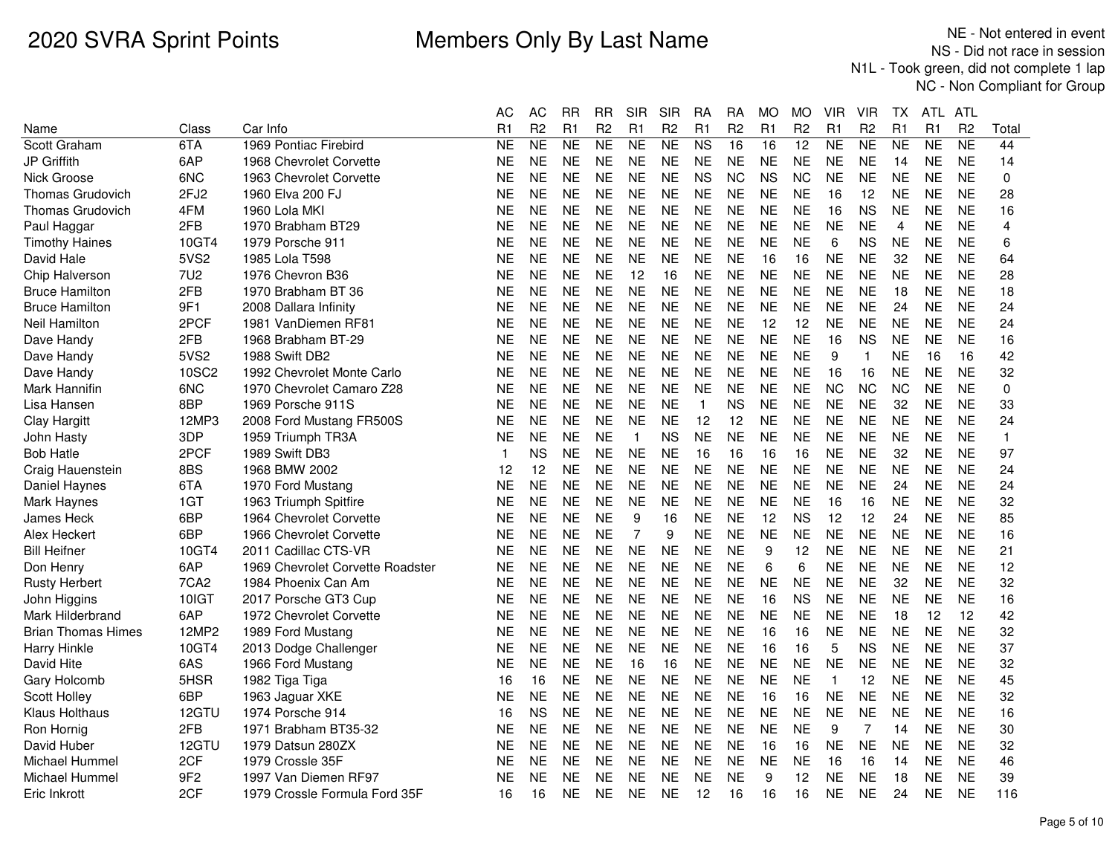|                           |                  |                                  | АC        | AC             | RR        | RR             | <b>SIR</b>     | SIR            | RА             | RA             | MO        | MO                | VIR          | VIR            | ТX             | ATL.      | ATL            |       |
|---------------------------|------------------|----------------------------------|-----------|----------------|-----------|----------------|----------------|----------------|----------------|----------------|-----------|-------------------|--------------|----------------|----------------|-----------|----------------|-------|
| Name                      | Class            | Car Info                         | R1        | R <sub>2</sub> | R1        | R <sub>2</sub> | R <sub>1</sub> | R <sub>2</sub> | R1             | R <sub>2</sub> | R1        | R <sub>2</sub>    | R1           | R <sub>2</sub> | R1             | R1        | R <sub>2</sub> | Total |
| Scott Graham              | 6TA              | 1969 Pontiac Firebird            | <b>NE</b> | <b>NE</b>      | NE        | <b>NE</b>      | <b>NE</b>      | <b>NE</b>      | N <sub>S</sub> | 16             | 16        | 12                | <b>NE</b>    | NE             | <b>NE</b>      | <b>NE</b> | <b>NE</b>      | 44    |
| JP Griffith               | 6AP              | 1968 Chevrolet Corvette          | <b>NE</b> | <b>NE</b>      | <b>NE</b> | <b>NE</b>      | <b>NE</b>      | <b>NE</b>      | <b>NE</b>      | <b>NE</b>      | <b>NE</b> | <b>NE</b>         | <b>NE</b>    | <b>NE</b>      | 14             | <b>NE</b> | <b>NE</b>      | 14    |
| Nick Groose               | 6NC              | 1963 Chevrolet Corvette          | <b>NE</b> | <b>NE</b>      | <b>NE</b> | <b>NE</b>      | <b>NE</b>      | <b>NE</b>      | <b>NS</b>      | <b>NC</b>      | <b>NS</b> | <b>NC</b>         | <b>NE</b>    | <b>NE</b>      | <b>NE</b>      | <b>NE</b> | <b>NE</b>      | 0     |
| <b>Thomas Grudovich</b>   | 2FJ2             | 1960 Elva 200 FJ                 | ΝE        | <b>NE</b>      | <b>NE</b> | <b>NE</b>      | <b>NE</b>      | <b>NE</b>      | <b>NE</b>      | <b>NE</b>      | <b>NE</b> | <b>NE</b>         | 16           | 12             | <b>NE</b>      | <b>NE</b> | <b>NE</b>      | 28    |
| <b>Thomas Grudovich</b>   | 4FM              | 1960 Lola MKI                    | ΝE        | <b>NE</b>      | <b>NE</b> | <b>NE</b>      | <b>NE</b>      | <b>NE</b>      | <b>NE</b>      | <b>NE</b>      | <b>NE</b> | <b>NE</b>         | 16           | <b>NS</b>      | <b>NE</b>      | <b>NE</b> | <b>NE</b>      | 16    |
| Paul Haggar               | 2FB              | 1970 Brabham BT29                | ΝE        | <b>NE</b>      | <b>NE</b> | <b>NE</b>      | <b>NE</b>      | <b>NE</b>      | <b>NE</b>      | <b>NE</b>      | <b>NE</b> | <b>NE</b>         | <b>NE</b>    | <b>NE</b>      | $\overline{4}$ | <b>NE</b> | <b>NE</b>      | 4     |
| <b>Timothy Haines</b>     | 10GT4            | 1979 Porsche 911                 | NΕ        | <b>NE</b>      | <b>NE</b> | <b>NE</b>      | <b>NE</b>      | <b>NE</b>      | <b>NE</b>      | <b>NE</b>      | <b>NE</b> | NE                | 6            | <b>NS</b>      | <b>NE</b>      | <b>NE</b> | <b>NE</b>      | 6     |
| David Hale                | 5VS2             | 1985 Lola T598                   | NE        | <b>NE</b>      | <b>NE</b> | <b>NE</b>      | <b>NE</b>      | <b>NE</b>      | <b>NE</b>      | <b>NE</b>      | 16        | 16                | <b>NE</b>    | <b>NE</b>      | 32             | <b>NE</b> | <b>NE</b>      | 64    |
| Chip Halverson            | 7U <sub>2</sub>  | 1976 Chevron B36                 | ΝE        | <b>NE</b>      | <b>NE</b> | <b>NE</b>      | 12             | 16             | <b>NE</b>      | <b>NE</b>      | <b>NE</b> | <b>NE</b>         | <b>NE</b>    | <b>NE</b>      | <b>NE</b>      | <b>NE</b> | <b>NE</b>      | 28    |
| <b>Bruce Hamilton</b>     | 2FB              | 1970 Brabham BT 36               | ΝE        | <b>NE</b>      | <b>NE</b> | <b>NE</b>      | <b>NE</b>      | <b>NE</b>      | <b>NE</b>      | <b>NE</b>      | <b>NE</b> | <b>NE</b>         | <b>NE</b>    | <b>NE</b>      | 18             | <b>NE</b> | <b>NE</b>      | 18    |
| <b>Bruce Hamilton</b>     | 9F1              | 2008 Dallara Infinity            | NΕ        | <b>NE</b>      | <b>NE</b> | <b>NE</b>      | <b>NE</b>      | <b>NE</b>      | <b>NE</b>      | <b>NE</b>      | <b>NE</b> | NE                | <b>NE</b>    | <b>NE</b>      | 24             | <b>NE</b> | <b>NE</b>      | 24    |
| Neil Hamilton             | 2PCF             | 1981 VanDiemen RF81              | NE        | <b>NE</b>      | <b>NE</b> | <b>NE</b>      | <b>NE</b>      | <b>NE</b>      | <b>NE</b>      | <b>NE</b>      | 12        | $12 \overline{ }$ | <b>NE</b>    | <b>NE</b>      | <b>NE</b>      | <b>NE</b> | <b>NE</b>      | 24    |
| Dave Handy                | 2FB              | 1968 Brabham BT-29               | NΕ        | <b>NE</b>      | <b>NE</b> | <b>NE</b>      | <b>NE</b>      | <b>NE</b>      | <b>NE</b>      | <b>NE</b>      | <b>NE</b> | <b>NE</b>         | 16           | <b>NS</b>      | <b>NE</b>      | <b>NE</b> | <b>NE</b>      | 16    |
| Dave Handy                | 5VS2             | 1988 Swift DB2                   | <b>NE</b> | <b>NE</b>      | <b>NE</b> | <b>NE</b>      | <b>NE</b>      | <b>NE</b>      | <b>NE</b>      | <b>NE</b>      | <b>NE</b> | <b>NE</b>         | 9            | $\mathbf{1}$   | <b>NE</b>      | 16        | 16             | 42    |
| Dave Handy                | <b>10SC2</b>     | 1992 Chevrolet Monte Carlo       | NΕ        | <b>NE</b>      | <b>NE</b> | <b>NE</b>      | <b>NE</b>      | <b>NE</b>      | <b>NE</b>      | <b>NE</b>      | <b>NE</b> | <b>NE</b>         | 16           | 16             | <b>NE</b>      | <b>NE</b> | <b>NE</b>      | 32    |
| Mark Hannifin             | 6NC              | 1970 Chevrolet Camaro Z28        | <b>NE</b> | <b>NE</b>      | <b>NE</b> | <b>NE</b>      | <b>NE</b>      | <b>NE</b>      | <b>NE</b>      | <b>NE</b>      | <b>NE</b> | <b>NE</b>         | <b>NC</b>    | <b>NC</b>      | <b>NC</b>      | <b>NE</b> | <b>NE</b>      | 0     |
| Lisa Hansen               | 8BP              | 1969 Porsche 911S                | ΝE        | <b>NE</b>      | <b>NE</b> | <b>NE</b>      | <b>NE</b>      | <b>NE</b>      | $\mathbf{1}$   | <b>NS</b>      | <b>NE</b> | <b>NE</b>         | <b>NE</b>    | <b>NE</b>      | 32             | <b>NE</b> | <b>NE</b>      | 33    |
| Clay Hargitt              | 12MP3            | 2008 Ford Mustang FR500S         | ΝE        | <b>NE</b>      | <b>NE</b> | <b>NE</b>      | <b>NE</b>      | <b>NE</b>      | 12             | 12             | <b>NE</b> | <b>NE</b>         | <b>NE</b>    | <b>NE</b>      | <b>NE</b>      | <b>NE</b> | <b>NE</b>      | 24    |
| John Hasty                | 3DP              | 1959 Triumph TR3A                | NΕ        | <b>NE</b>      | <b>NE</b> | <b>NE</b>      | $\mathbf{1}$   | <b>NS</b>      | <b>NE</b>      | <b>NE</b>      | <b>NE</b> | <b>NE</b>         | <b>NE</b>    | <b>NE</b>      | <b>NE</b>      | <b>NE</b> | <b>NE</b>      | 1.    |
| <b>Bob Hatle</b>          | 2PCF             | 1989 Swift DB3                   | 1         | <b>NS</b>      | <b>NE</b> | <b>NE</b>      | <b>NE</b>      | <b>NE</b>      | 16             | 16             | 16        | 16                | <b>NE</b>    | <b>NE</b>      | 32             | <b>NE</b> | <b>NE</b>      | 97    |
| Craig Hauenstein          | 8BS              | 1968 BMW 2002                    | 12        | 12             | <b>NE</b> | <b>NE</b>      | <b>NE</b>      | <b>NE</b>      | <b>NE</b>      | <b>NE</b>      | <b>NE</b> | <b>NE</b>         | <b>NE</b>    | <b>NE</b>      | <b>NE</b>      | <b>NE</b> | <b>NE</b>      | 24    |
| Daniel Haynes             | 6TA              | 1970 Ford Mustang                | ΝE        | <b>NE</b>      | <b>NE</b> | <b>NE</b>      | <b>NE</b>      | <b>NE</b>      | <b>NE</b>      | <b>NE</b>      | <b>NE</b> | <b>NE</b>         | <b>NE</b>    | <b>NE</b>      | 24             | <b>NE</b> | <b>NE</b>      | 24    |
| Mark Haynes               | 1GT              | 1963 Triumph Spitfire            | <b>NE</b> | <b>NE</b>      | <b>NE</b> | <b>NE</b>      | <b>NE</b>      | <b>NE</b>      | <b>NE</b>      | <b>NE</b>      | <b>NE</b> | <b>NE</b>         | 16           | 16             | <b>NE</b>      | <b>NE</b> | <b>NE</b>      | 32    |
| James Heck                | 6BP              | 1964 Chevrolet Corvette          | ΝE        | <b>NE</b>      | <b>NE</b> | <b>NE</b>      | 9              | 16             | <b>NE</b>      | <b>NE</b>      | 12        | <b>NS</b>         | 12           | 12             | 24             | <b>NE</b> | <b>NE</b>      | 85    |
| Alex Heckert              | 6BP              | 1966 Chevrolet Corvette          | <b>NE</b> | <b>NE</b>      | <b>NE</b> | <b>NE</b>      | $\overline{7}$ | 9              | <b>NE</b>      | <b>NE</b>      | <b>NE</b> | <b>NE</b>         | <b>NE</b>    | <b>NE</b>      | <b>NE</b>      | <b>NE</b> | <b>NE</b>      | 16    |
| <b>Bill Heifner</b>       | 10GT4            | 2011 Cadillac CTS-VR             | ΝE        | <b>NE</b>      | <b>NE</b> | <b>NE</b>      | <b>NE</b>      | <b>NE</b>      | <b>NE</b>      | <b>NE</b>      | 9         | 12                | <b>NE</b>    | <b>NE</b>      | <b>NE</b>      | <b>NE</b> | <b>NE</b>      | 21    |
| Don Henry                 | 6AP              | 1969 Chevrolet Corvette Roadster | <b>NE</b> | <b>NE</b>      | <b>NE</b> | <b>NE</b>      | <b>NE</b>      | <b>NE</b>      | <b>NE</b>      | <b>NE</b>      | 6         | 6                 | <b>NE</b>    | <b>NE</b>      | <b>NE</b>      | <b>NE</b> | <b>NE</b>      | 12    |
| <b>Rusty Herbert</b>      | 7CA <sub>2</sub> | 1984 Phoenix Can Am              | ΝE        | <b>NE</b>      | <b>NE</b> | <b>NE</b>      | <b>NE</b>      | <b>NE</b>      | <b>NE</b>      | <b>NE</b>      | <b>NE</b> | <b>NE</b>         | <b>NE</b>    | <b>NE</b>      | 32             | <b>NE</b> | <b>NE</b>      | 32    |
| John Higgins              | 10IGT            | 2017 Porsche GT3 Cup             | NE        | <b>NE</b>      | <b>NE</b> | <b>NE</b>      | <b>NE</b>      | <b>NE</b>      | <b>NE</b>      | <b>NE</b>      | 16        | <b>NS</b>         | <b>NE</b>    | <b>NE</b>      | <b>NE</b>      | <b>NE</b> | <b>NE</b>      | 16    |
| Mark Hilderbrand          | 6AP              | 1972 Chevrolet Corvette          | NΕ        | <b>NE</b>      | <b>NE</b> | <b>NE</b>      | <b>NE</b>      | <b>NE</b>      | <b>NE</b>      | <b>NE</b>      | <b>NE</b> | NE                | <b>NE</b>    | <b>NE</b>      | 18             | 12        | 12             | 42    |
| <b>Brian Thomas Himes</b> | 12MP2            | 1989 Ford Mustang                | <b>NE</b> | <b>NE</b>      | <b>NE</b> | <b>NE</b>      | <b>NE</b>      | <b>NE</b>      | <b>NE</b>      | <b>NE</b>      | 16        | 16                | <b>NE</b>    | <b>NE</b>      | <b>NE</b>      | <b>NE</b> | <b>NE</b>      | 32    |
| <b>Harry Hinkle</b>       | 10GT4            | 2013 Dodge Challenger            | NΕ        | <b>NE</b>      | <b>NE</b> | <b>NE</b>      | <b>NE</b>      | <b>NE</b>      | <b>NE</b>      | <b>NE</b>      | 16        | 16                | 5            | <b>NS</b>      | <b>NE</b>      | <b>NE</b> | <b>NE</b>      | 37    |
| David Hite                | 6AS              | 1966 Ford Mustang                | NE        | <b>NE</b>      | <b>NE</b> | <b>NE</b>      | 16             | 16             | <b>NE</b>      | <b>NE</b>      | <b>NE</b> | <b>NE</b>         | <b>NE</b>    | <b>NE</b>      | <b>NE</b>      | <b>NE</b> | <b>NE</b>      | 32    |
| Gary Holcomb              | 5HSR             | 1982 Tiga Tiga                   | 16        | 16             | <b>NE</b> | <b>NE</b>      | <b>NE</b>      | <b>NE</b>      | <b>NE</b>      | <b>NE</b>      | <b>NE</b> | <b>NE</b>         | $\mathbf{1}$ | 12             | <b>NE</b>      | <b>NE</b> | <b>NE</b>      | 45    |
| Scott Holley              | 6BP              | 1963 Jaguar XKE                  | ΝE        | <b>NE</b>      | <b>NE</b> | <b>NE</b>      | <b>NE</b>      | <b>NE</b>      | <b>NE</b>      | <b>NE</b>      | 16        | 16                | <b>NE</b>    | <b>NE</b>      | <b>NE</b>      | <b>NE</b> | <b>NE</b>      | 32    |
| <b>Klaus Holthaus</b>     | 12GTU            | 1974 Porsche 914                 | 16        | <b>NS</b>      | <b>NE</b> | <b>NE</b>      | <b>NE</b>      | <b>NE</b>      | <b>NE</b>      | <b>NE</b>      | <b>NE</b> | <b>NE</b>         | <b>NE</b>    | <b>NE</b>      | <b>NE</b>      | <b>NE</b> | <b>NE</b>      | 16    |
| Ron Hornig                | 2FB              | 1971 Brabham BT35-32             | NΕ        | <b>NE</b>      | <b>NE</b> | <b>NE</b>      | <b>NE</b>      | <b>NE</b>      | <b>NE</b>      | <b>NE</b>      | <b>NE</b> | <b>NE</b>         | 9            | $\overline{7}$ | 14             | <b>NE</b> | <b>NE</b>      | 30    |
| David Huber               | 12GTU            | 1979 Datsun 280ZX                | NΕ        | <b>NE</b>      | <b>NE</b> | <b>NE</b>      | <b>NE</b>      | <b>NE</b>      | <b>NE</b>      | <b>NE</b>      | 16        | 16                | <b>NE</b>    | <b>NE</b>      | <b>NE</b>      | <b>NE</b> | <b>NE</b>      | 32    |
| Michael Hummel            | 2CF              | 1979 Crossle 35F                 | <b>NE</b> | <b>NE</b>      | <b>NE</b> | <b>NE</b>      | <b>NE</b>      | <b>NE</b>      | <b>NE</b>      | <b>NE</b>      | <b>NE</b> | <b>NE</b>         | 16           | 16             | 14             | <b>NE</b> | <b>NE</b>      | 46    |
| Michael Hummel            | 9F <sub>2</sub>  | 1997 Van Diemen RF97             | <b>NE</b> | <b>NE</b>      | <b>NE</b> | <b>NE</b>      | <b>NE</b>      | <b>NE</b>      | <b>NE</b>      | <b>NE</b>      | 9         | 12                | <b>NE</b>    | <b>NE</b>      | 18             | <b>NE</b> | <b>NE</b>      | 39    |
| Eric Inkrott              | 2CF              | 1979 Crossle Formula Ford 35F    | 16        | 16             | <b>NE</b> | <b>NE</b>      | <b>NE</b>      | <b>NE</b>      | 12             | 16             | 16        | 16                | <b>NE</b>    | <b>NE</b>      | 24             | <b>NE</b> | <b>NE</b>      | 116   |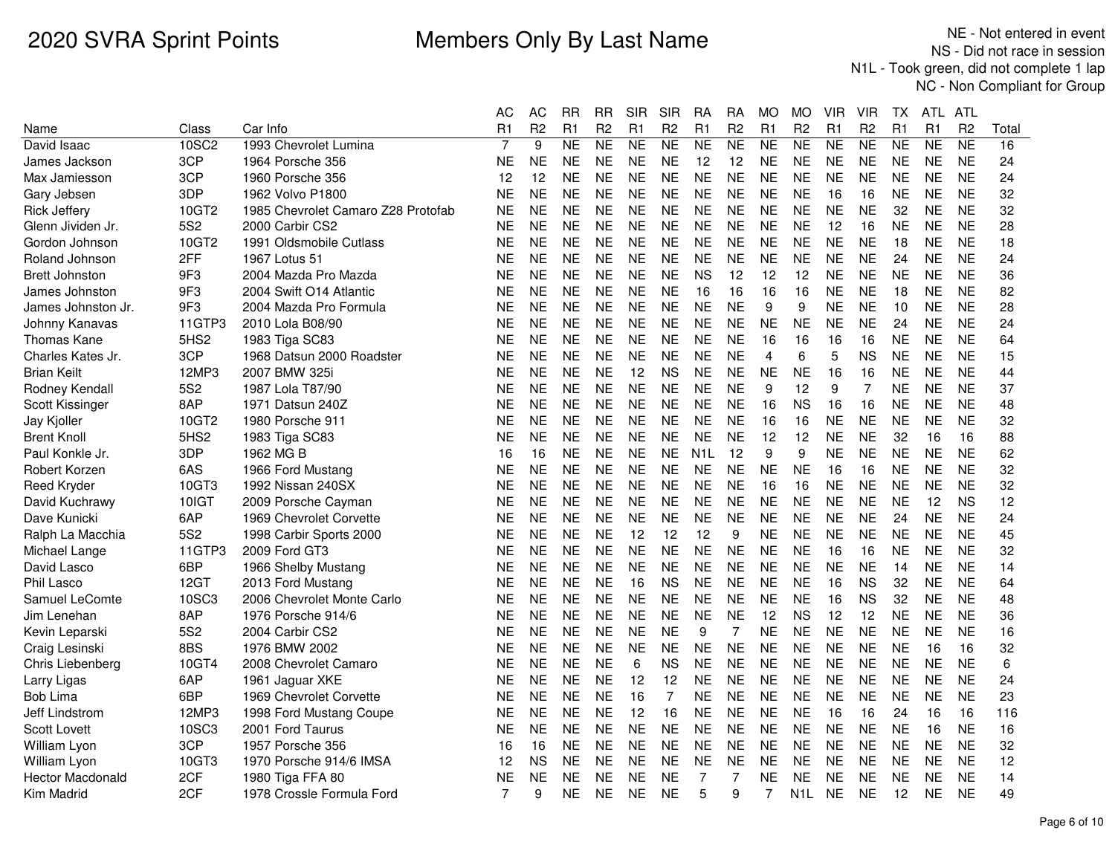|                         |                  |                                    | АC        | AC             | <b>RR</b> | <b>RR</b>      | <b>SIR</b> | <b>SIR</b>     | RA               | RA             | <b>MO</b>      | <b>MO</b>        | VIR            | VIR            | ТX        | ATL            | ATL            |       |
|-------------------------|------------------|------------------------------------|-----------|----------------|-----------|----------------|------------|----------------|------------------|----------------|----------------|------------------|----------------|----------------|-----------|----------------|----------------|-------|
| Name                    | Class            | Car Info                           | R1        | R <sub>2</sub> | R1        | R <sub>2</sub> | R1         | R <sub>2</sub> | R1               | R <sub>2</sub> | R1             | R <sub>2</sub>   | R <sub>1</sub> | R <sub>2</sub> | R1        | R <sub>1</sub> | R <sub>2</sub> | Total |
| David Isaac             | 10SC2            | 1993 Chevrolet Lumina              | 7         | 9              | <b>NE</b> | <b>NE</b>      | <b>NE</b>  | NE             | <b>NE</b>        | NE             | <b>NE</b>      | <b>NE</b>        | <b>NE</b>      | <b>NE</b>      | <b>NE</b> | <b>NE</b>      | <b>NE</b>      | 16    |
| James Jackson           | 3CP              | 1964 Porsche 356                   | ΝE        | <b>NE</b>      | <b>NE</b> | <b>NE</b>      | <b>NE</b>  | <b>NE</b>      | 12               | 12             | <b>NE</b>      | NE               | <b>NE</b>      | <b>NE</b>      | <b>NE</b> | <b>NE</b>      | <b>NE</b>      | 24    |
| Max Jamiesson           | 3CP              | 1960 Porsche 356                   | 12        | 12             | <b>NE</b> | <b>NE</b>      | <b>NE</b>  | <b>NE</b>      | <b>NE</b>        | <b>NE</b>      | <b>NE</b>      | <b>NE</b>        | <b>NE</b>      | <b>NE</b>      | <b>NE</b> | <b>NE</b>      | <b>NE</b>      | 24    |
| Gary Jebsen             | 3DP              | 1962 Volvo P1800                   | <b>NE</b> | <b>NE</b>      | <b>NE</b> | <b>NE</b>      | <b>NE</b>  | <b>NE</b>      | <b>NE</b>        | <b>NE</b>      | <b>NE</b>      | <b>NE</b>        | 16             | 16             | <b>NE</b> | <b>NE</b>      | <b>NE</b>      | 32    |
| <b>Rick Jeffery</b>     | 10GT2            | 1985 Chevrolet Camaro Z28 Protofab | NE        | <b>NE</b>      | <b>NE</b> | <b>NE</b>      | <b>NE</b>  | <b>NE</b>      | <b>NE</b>        | <b>NE</b>      | <b>NE</b>      | <b>NE</b>        | <b>NE</b>      | <b>NE</b>      | 32        | <b>NE</b>      | <b>NE</b>      | 32    |
| Glenn Jividen Jr.       | 5S <sub>2</sub>  | 2000 Carbir CS2                    | ΝE        | <b>NE</b>      | <b>NE</b> | <b>NE</b>      | <b>NE</b>  | <b>NE</b>      | <b>NE</b>        | <b>NE</b>      | <b>NE</b>      | <b>NE</b>        | 12             | 16             | <b>NE</b> | <b>NE</b>      | <b>NE</b>      | 28    |
| Gordon Johnson          | 10GT2            | 1991 Oldsmobile Cutlass            | <b>NE</b> | <b>NE</b>      | <b>NE</b> | <b>NE</b>      | <b>NE</b>  | <b>NE</b>      | <b>NE</b>        | <b>NE</b>      | <b>NE</b>      | <b>NE</b>        | <b>NE</b>      | <b>NE</b>      | 18        | <b>NE</b>      | <b>NE</b>      | 18    |
| Roland Johnson          | 2FF              | 1967 Lotus 51                      | ΝE        | <b>NE</b>      | <b>NE</b> | <b>NE</b>      | <b>NE</b>  | <b>NE</b>      | <b>NE</b>        | <b>NE</b>      | <b>NE</b>      | <b>NE</b>        | <b>NE</b>      | <b>NE</b>      | 24        | <b>NE</b>      | <b>NE</b>      | 24    |
| <b>Brett Johnston</b>   | 9F3              | 2004 Mazda Pro Mazda               | ΝE        | <b>NE</b>      | <b>NE</b> | <b>NE</b>      | <b>NE</b>  | <b>NE</b>      | <b>NS</b>        | 12             | 12             | 12               | NE             | <b>NE</b>      | <b>NE</b> | <b>NE</b>      | <b>NE</b>      | 36    |
| James Johnston          | 9F3              | 2004 Swift O14 Atlantic            | <b>NE</b> | <b>NE</b>      | <b>NE</b> | <b>NE</b>      | <b>NE</b>  | <b>NE</b>      | 16               | 16             | 16             | 16               | <b>NE</b>      | <b>NE</b>      | 18        | <b>NE</b>      | <b>NE</b>      | 82    |
| James Johnston Jr.      | 9F3              | 2004 Mazda Pro Formula             | ΝE        | <b>NE</b>      | <b>NE</b> | <b>NE</b>      | <b>NE</b>  | <b>NE</b>      | <b>NE</b>        | <b>NE</b>      | 9              | 9                | <b>NE</b>      | <b>NE</b>      | 10        | <b>NE</b>      | <b>NE</b>      | 28    |
| Johnny Kanavas          | 11GTP3           | 2010 Lola B08/90                   | <b>NE</b> | <b>NE</b>      | <b>NE</b> | <b>NE</b>      | <b>NE</b>  | <b>NE</b>      | <b>NE</b>        | <b>NE</b>      | <b>NE</b>      | <b>NE</b>        | <b>NE</b>      | <b>NE</b>      | 24        | <b>NE</b>      | <b>NE</b>      | 24    |
| Thomas Kane             | 5HS <sub>2</sub> | 1983 Tiga SC83                     | NE        | <b>NE</b>      | <b>NE</b> | <b>NE</b>      | <b>NE</b>  | <b>NE</b>      | <b>NE</b>        | NE             | 16             | 16               | 16             | 16             | <b>NE</b> | <b>NE</b>      | <b>NE</b>      | 64    |
| Charles Kates Jr.       | 3CP              | 1968 Datsun 2000 Roadster          | <b>NE</b> | <b>NE</b>      | <b>NE</b> | <b>NE</b>      | <b>NE</b>  | <b>NE</b>      | <b>NE</b>        | <b>NE</b>      | $\overline{4}$ | 6                | 5              | <b>NS</b>      | <b>NE</b> | <b>NE</b>      | <b>NE</b>      | 15    |
| <b>Brian Keilt</b>      | 12MP3            | 2007 BMW 325i                      | ΝE        | <b>NE</b>      | <b>NE</b> | <b>NE</b>      | 12         | <b>NS</b>      | <b>NE</b>        | <b>NE</b>      | <b>NE</b>      | <b>NE</b>        | 16             | 16             | <b>NE</b> | <b>NE</b>      | <b>NE</b>      | 44    |
| Rodney Kendall          | 5S <sub>2</sub>  | 1987 Lola T87/90                   | NE        | <b>NE</b>      | <b>NE</b> | <b>NE</b>      | <b>NE</b>  | <b>NE</b>      | <b>NE</b>        | <b>NE</b>      | 9              | 12               | 9              | 7              | <b>NE</b> | <b>NE</b>      | <b>NE</b>      | 37    |
| Scott Kissinger         | 8AP              | 1971 Datsun 240Z                   | <b>NE</b> | <b>NE</b>      | <b>NE</b> | <b>NE</b>      | <b>NE</b>  | <b>NE</b>      | <b>NE</b>        | <b>NE</b>      | 16             | <b>NS</b>        | 16             | 16             | <b>NE</b> | <b>NE</b>      | <b>NE</b>      | 48    |
| Jay Kjoller             | 10GT2            | 1980 Porsche 911                   | ΝE        | <b>NE</b>      | <b>NE</b> | <b>NE</b>      | <b>NE</b>  | <b>NE</b>      | <b>NE</b>        | <b>NE</b>      | 16             | 16               | <b>NE</b>      | <b>NE</b>      | <b>NE</b> | <b>NE</b>      | <b>NE</b>      | 32    |
| <b>Brent Knoll</b>      | 5HS2             | 1983 Tiga SC83                     | <b>NE</b> | <b>NE</b>      | <b>NE</b> | <b>NE</b>      | <b>NE</b>  | <b>NE</b>      | <b>NE</b>        | <b>NE</b>      | 12             | 12               | <b>NE</b>      | <b>NE</b>      | 32        | 16             | 16             | 88    |
| Paul Konkle Jr.         | 3DP              | 1962 MG B                          | 16        | 16             | <b>NE</b> | <b>NE</b>      | <b>NE</b>  | <b>NE</b>      | N <sub>1</sub> L | 12             | 9              | 9                | <b>NE</b>      | <b>NE</b>      | <b>NE</b> | <b>NE</b>      | <b>NE</b>      | 62    |
| Robert Korzen           | 6AS              | 1966 Ford Mustang                  | ΝE        | <b>NE</b>      | <b>NE</b> | <b>NE</b>      | <b>NE</b>  | <b>NE</b>      | <b>NE</b>        | <b>NE</b>      | <b>NE</b>      | <b>NE</b>        | 16             | 16             | <b>NE</b> | <b>NE</b>      | <b>NE</b>      | 32    |
| <b>Reed Kryder</b>      | 10GT3            | 1992 Nissan 240SX                  | NΕ        | <b>NE</b>      | <b>NE</b> | <b>NE</b>      | <b>NE</b>  | <b>NE</b>      | <b>NE</b>        | <b>NE</b>      | 16             | 16               | <b>NE</b>      | <b>NE</b>      | <b>NE</b> | <b>NE</b>      | <b>NE</b>      | 32    |
| David Kuchrawy          | 10IGT            | 2009 Porsche Cayman                | NE        | <b>NE</b>      | <b>NE</b> | <b>NE</b>      | <b>NE</b>  | <b>NE</b>      | <b>NE</b>        | <b>NE</b>      | <b>NE</b>      | <b>NE</b>        | <b>NE</b>      | <b>NE</b>      | <b>NE</b> | 12             | <b>NS</b>      | 12    |
| Dave Kunicki            | 6AP              | 1969 Chevrolet Corvette            | NE        | <b>NE</b>      | <b>NE</b> | <b>NE</b>      | <b>NE</b>  | <b>NE</b>      | <b>NE</b>        | <b>NE</b>      | <b>NE</b>      | NE               | <b>NE</b>      | <b>NE</b>      | 24        | <b>NE</b>      | <b>NE</b>      | 24    |
| Ralph La Macchia        | 5S <sub>2</sub>  | 1998 Carbir Sports 2000            | <b>NE</b> | <b>NE</b>      | <b>NE</b> | <b>NE</b>      | 12         | 12             | 12               | 9              | <b>NE</b>      | <b>NE</b>        | <b>NE</b>      | <b>NE</b>      | <b>NE</b> | <b>NE</b>      | <b>NE</b>      | 45    |
| Michael Lange           | 11GTP3           | 2009 Ford GT3                      | <b>NE</b> | <b>NE</b>      | <b>NE</b> | <b>NE</b>      | <b>NE</b>  | <b>NE</b>      | <b>NE</b>        | <b>NE</b>      | <b>NE</b>      | <b>NE</b>        | 16             | 16             | <b>NE</b> | <b>NE</b>      | <b>NE</b>      | 32    |
| David Lasco             | 6BP              | 1966 Shelby Mustang                | <b>NE</b> | <b>NE</b>      | <b>NE</b> | <b>NE</b>      | <b>NE</b>  | <b>NE</b>      | <b>NE</b>        | <b>NE</b>      | <b>NE</b>      | <b>NE</b>        | <b>NE</b>      | <b>NE</b>      | 14        | <b>NE</b>      | <b>NE</b>      | 14    |
| Phil Lasco              | 12GT             | 2013 Ford Mustang                  | NE        | <b>NE</b>      | <b>NE</b> | <b>NE</b>      | 16         | <b>NS</b>      | <b>NE</b>        | <b>NE</b>      | <b>NE</b>      | <b>NE</b>        | 16             | <b>NS</b>      | 32        | <b>NE</b>      | <b>NE</b>      | 64    |
| Samuel LeComte          | 10SC3            | 2006 Chevrolet Monte Carlo         | ΝE        | <b>NE</b>      | <b>NE</b> | <b>NE</b>      | <b>NE</b>  | <b>NE</b>      | <b>NE</b>        | <b>NE</b>      | <b>NE</b>      | <b>NE</b>        | 16             | <b>NS</b>      | 32        | <b>NE</b>      | <b>NE</b>      | 48    |
| Jim Lenehan             | 8AP              | 1976 Porsche 914/6                 | ΝE        | <b>NE</b>      | <b>NE</b> | <b>NE</b>      | <b>NE</b>  | <b>NE</b>      | <b>NE</b>        | <b>NE</b>      | 12             | ΝS               | 12             | 12             | <b>NE</b> | <b>NE</b>      | <b>NE</b>      | 36    |
| Kevin Leparski          | 5S <sub>2</sub>  | 2004 Carbir CS2                    | ΝE        | <b>NE</b>      | <b>NE</b> | <b>NE</b>      | <b>NE</b>  | <b>NE</b>      | 9                | 7              | <b>NE</b>      | <b>NE</b>        | <b>NE</b>      | <b>NE</b>      | <b>NE</b> | <b>NE</b>      | <b>NE</b>      | 16    |
| Craig Lesinski          | 8BS              | 1976 BMW 2002                      | NE        | <b>NE</b>      | <b>NE</b> | <b>NE</b>      | <b>NE</b>  | <b>NE</b>      | <b>NE</b>        | <b>NE</b>      | <b>NE</b>      | <b>NE</b>        | <b>NE</b>      | <b>NE</b>      | <b>NE</b> | 16             | 16             | 32    |
| Chris Liebenberg        | 10GT4            | 2008 Chevrolet Camaro              | ΝE        | <b>NE</b>      | <b>NE</b> | <b>NE</b>      | 6          | <b>NS</b>      | <b>NE</b>        | <b>NE</b>      | <b>NE</b>      | <b>NE</b>        | <b>NE</b>      | <b>NE</b>      | <b>NE</b> | <b>NE</b>      | <b>NE</b>      | 6     |
| Larry Ligas             | 6AP              | 1961 Jaguar XKE                    | NE        | <b>NE</b>      | <b>NE</b> | <b>NE</b>      | 12         | 12             | <b>NE</b>        | <b>NE</b>      | <b>NE</b>      | <b>NE</b>        | <b>NE</b>      | <b>NE</b>      | <b>NE</b> | <b>NE</b>      | <b>NE</b>      | 24    |
| Bob Lima                | 6BP              | 1969 Chevrolet Corvette            | NΕ        | <b>NE</b>      | <b>NE</b> | <b>NE</b>      | 16         | $\overline{7}$ | <b>NE</b>        | <b>NE</b>      | <b>NE</b>      | <b>NE</b>        | <b>NE</b>      | <b>NE</b>      | <b>NE</b> | <b>NE</b>      | <b>NE</b>      | 23    |
| Jeff Lindstrom          | 12MP3            | 1998 Ford Mustang Coupe            | <b>NE</b> | <b>NE</b>      | <b>NE</b> | <b>NE</b>      | 12         | 16             | <b>NE</b>        | <b>NE</b>      | <b>NE</b>      | <b>NE</b>        | 16             | 16             | 24        | 16             | 16             | 116   |
| <b>Scott Lovett</b>     | 10SC3            | 2001 Ford Taurus                   | ΝE        | <b>NE</b>      | <b>NE</b> | <b>NE</b>      | <b>NE</b>  | <b>NE</b>      | <b>NE</b>        | <b>NE</b>      | <b>NE</b>      | <b>NE</b>        | <b>NE</b>      | <b>NE</b>      | <b>NE</b> | 16             | <b>NE</b>      | 16    |
| William Lyon            | 3CP              | 1957 Porsche 356                   | 16        | 16             | <b>NE</b> | <b>NE</b>      | <b>NE</b>  | <b>NE</b>      | <b>NE</b>        | <b>NE</b>      | <b>NE</b>      | NE               | <b>NE</b>      | <b>NE</b>      | <b>NE</b> | <b>NE</b>      | <b>NE</b>      | 32    |
| William Lyon            | 10GT3            | 1970 Porsche 914/6 IMSA            | 12        | <b>NS</b>      | <b>NE</b> | <b>NE</b>      | <b>NE</b>  | <b>NE</b>      | <b>NE</b>        | <b>NE</b>      | <b>NE</b>      | <b>NE</b>        | <b>NE</b>      | <b>NE</b>      | <b>NE</b> | <b>NE</b>      | <b>NE</b>      | 12    |
| <b>Hector Macdonald</b> | 2CF              | 1980 Tiga FFA 80                   | ΝE        | <b>NE</b>      | <b>NE</b> | <b>NE</b>      | <b>NE</b>  | <b>NE</b>      | $\overline{7}$   | $\overline{7}$ | <b>NE</b>      | <b>NE</b>        | <b>NE</b>      | <b>NE</b>      | <b>NE</b> | <b>NE</b>      | <b>NE</b>      | 14    |
| Kim Madrid              | 2CF              | 1978 Crossle Formula Ford          | 7         | 9              | <b>NE</b> | <b>NE</b>      | <b>NE</b>  | <b>NE</b>      | 5                | 9              | 7              | N <sub>1</sub> L | <b>NE</b>      | <b>NE</b>      | 12        | <b>NE</b>      | <b>NE</b>      | 49    |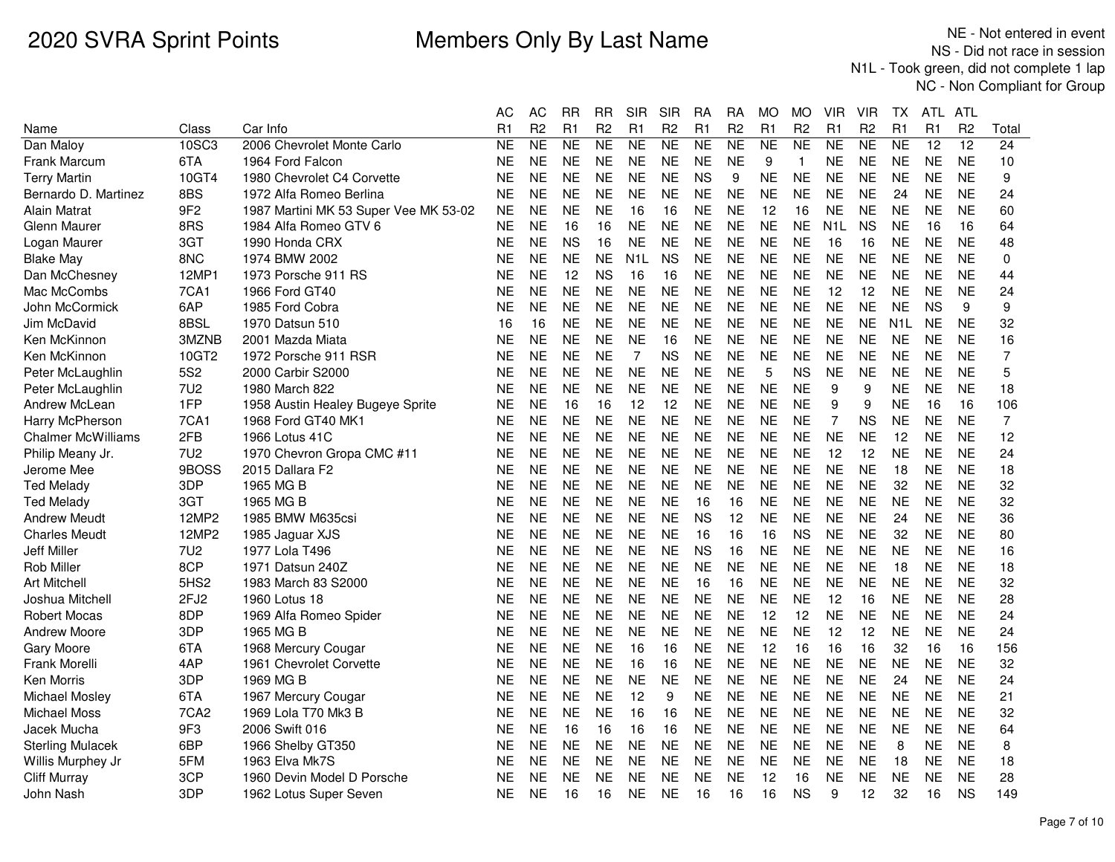|                           |                  |                                       | AС             | AС             | RR        | RR             | SIR              | SIR            | RA        | RA             | МO        | МO             | VIR              | VIR            | TХ               | ATL.            | ATL             |                 |
|---------------------------|------------------|---------------------------------------|----------------|----------------|-----------|----------------|------------------|----------------|-----------|----------------|-----------|----------------|------------------|----------------|------------------|-----------------|-----------------|-----------------|
| Name                      | Class            | Car Info                              | R <sub>1</sub> | R <sub>2</sub> | R1        | R <sub>2</sub> | R1               | R <sub>2</sub> | R1        | R <sub>2</sub> | R1        | R <sub>2</sub> | R <sub>1</sub>   | R <sub>2</sub> | R1               | R1              | R <sub>2</sub>  | Total           |
| Dan Maloy                 | 10SC3            | 2006 Chevrolet Monte Carlo            | <b>NE</b>      | <b>NE</b>      | <b>NE</b> | <b>NE</b>      | <b>NE</b>        | <b>NE</b>      | <b>NE</b> | <b>NE</b>      | <b>NE</b> | <b>NE</b>      | <b>NE</b>        | <b>NE</b>      | <b>NE</b>        | $\overline{12}$ | $\overline{12}$ | $\overline{24}$ |
| <b>Frank Marcum</b>       | 6TA              | 1964 Ford Falcon                      | <b>NE</b>      | <b>NE</b>      | <b>NE</b> | <b>NE</b>      | <b>NE</b>        | <b>NE</b>      | <b>NE</b> | <b>NE</b>      | 9         | $\mathbf{1}$   | <b>NE</b>        | <b>NE</b>      | <b>NE</b>        | <b>NE</b>       | <b>NE</b>       | 10              |
| Terry Martin              | 10GT4            | 1980 Chevrolet C4 Corvette            | NE             | <b>NE</b>      | NE.       | <b>NE</b>      | <b>NE</b>        | <b>NE</b>      | <b>NS</b> | 9              | <b>NE</b> | <b>NE</b>      | NE               | <b>NE</b>      | <b>NE</b>        | <b>NE</b>       | <b>NE</b>       | 9               |
| Bernardo D. Martinez      | 8BS              | 1972 Alfa Romeo Berlina               | <b>NE</b>      | <b>NE</b>      | <b>NE</b> | <b>NE</b>      | <b>NE</b>        | <b>NE</b>      | <b>NE</b> | <b>NE</b>      | <b>NE</b> | <b>NE</b>      | <b>NE</b>        | <b>NE</b>      | 24               | <b>NE</b>       | <b>NE</b>       | 24              |
| Alain Matrat              | 9F <sub>2</sub>  | 1987 Martini MK 53 Super Vee MK 53-02 | NE             | <b>NE</b>      | <b>NE</b> | <b>NE</b>      | 16               | 16             | <b>NE</b> | <b>NE</b>      | 12        | 16             | <b>NE</b>        | <b>NE</b>      | <b>NE</b>        | <b>NE</b>       | <b>NE</b>       | 60              |
| Glenn Maurer              | 8RS              | 1984 Alfa Romeo GTV 6                 | <b>NE</b>      | <b>NE</b>      | 16        | 16             | <b>NE</b>        | <b>NE</b>      | <b>NE</b> | <b>NE</b>      | <b>NE</b> | <b>NE</b>      | N <sub>1</sub> L | <b>NS</b>      | <b>NE</b>        | 16              | 16              | 64              |
| Logan Maurer              | 3GT              | 1990 Honda CRX                        | <b>NE</b>      | <b>NE</b>      | <b>NS</b> | 16             | <b>NE</b>        | <b>NE</b>      | <b>NE</b> | <b>NE</b>      | <b>NE</b> | <b>NE</b>      | -16              | 16             | <b>NE</b>        | <b>NE</b>       | <b>NE</b>       | 48              |
| <b>Blake May</b>          | 8NC              | 1974 BMW 2002                         | <b>NE</b>      | <b>NE</b>      | <b>NE</b> | <b>NE</b>      | N <sub>1</sub> L | <b>NS</b>      | <b>NE</b> | <b>NE</b>      | <b>NE</b> | <b>NE</b>      | <b>NE</b>        | <b>NE</b>      | <b>NE</b>        | <b>NE</b>       | <b>NE</b>       | $\mathbf 0$     |
| Dan McChesney             | 12MP1            | 1973 Porsche 911 RS                   | <b>NE</b>      | <b>NE</b>      | 12        | <b>NS</b>      | 16               | 16             | <b>NE</b> | <b>NE</b>      | <b>NE</b> | <b>NE</b>      | <b>NE</b>        | <b>NE</b>      | <b>NE</b>        | <b>NE</b>       | <b>NE</b>       | 44              |
| Mac McCombs               | 7CA1             | 1966 Ford GT40                        | <b>NE</b>      | <b>NE</b>      | <b>NE</b> | <b>NE</b>      | <b>NE</b>        | <b>NE</b>      | <b>NE</b> | <b>NE</b>      | <b>NE</b> | <b>NE</b>      | 12               | 12             | <b>NE</b>        | <b>NE</b>       | <b>NE</b>       | 24              |
| John McCormick            | 6AP              | 1985 Ford Cobra                       | <b>NE</b>      | <b>NE</b>      | <b>NE</b> | NE             | <b>NE</b>        | <b>NE</b>      | <b>NE</b> | <b>NE</b>      | <b>NE</b> | <b>NE</b>      | <b>NE</b>        | <b>NE</b>      | <b>NE</b>        | <b>NS</b>       | 9               | 9               |
| Jim McDavid               | 8BSL             | 1970 Datsun 510                       | 16             | 16             | <b>NE</b> | <b>NE</b>      | <b>NE</b>        | <b>NE</b>      | <b>NE</b> | <b>NE</b>      | <b>NE</b> | <b>NE</b>      | <b>NE</b>        | <b>NE</b>      | N <sub>1</sub> L | <b>NE</b>       | <b>NE</b>       | 32              |
| Ken McKinnon              | 3MZNB            | 2001 Mazda Miata                      | <b>NE</b>      | <b>NE</b>      | <b>NE</b> | <b>NE</b>      | <b>NE</b>        | 16             | <b>NE</b> | <b>NE</b>      | <b>NE</b> | <b>NE</b>      | <b>NE</b>        | <b>NE</b>      | <b>NE</b>        | <b>NE</b>       | <b>NE</b>       | 16              |
| Ken McKinnon              | 10GT2            | 1972 Porsche 911 RSR                  | NE             | <b>NE</b>      | <b>NE</b> | <b>NE</b>      | $\overline{7}$   | <b>NS</b>      | <b>NE</b> | <b>NE</b>      | <b>NE</b> | <b>NE</b>      | <b>NE</b>        | <b>NE</b>      | <b>NE</b>        | <b>NE</b>       | <b>NE</b>       | $\overline{7}$  |
| Peter McLaughlin          | 5S <sub>2</sub>  | 2000 Carbir S2000                     | <b>NE</b>      | <b>NE</b>      | <b>NE</b> | <b>NE</b>      | <b>NE</b>        | <b>NE</b>      | <b>NE</b> | <b>NE</b>      | 5         | <b>NS</b>      | <b>NE</b>        | <b>NE</b>      | <b>NE</b>        | <b>NE</b>       | <b>NE</b>       | 5               |
| Peter McLaughlin          | <b>7U2</b>       | 1980 March 822                        | <b>NE</b>      | <b>NE</b>      | <b>NE</b> | <b>NE</b>      | <b>NE</b>        | <b>NE</b>      | <b>NE</b> | <b>NE</b>      | <b>NE</b> | <b>NE</b>      | 9                | 9              | <b>NE</b>        | <b>NE</b>       | <b>NE</b>       | 18              |
| Andrew McLean             | 1FP              | 1958 Austin Healey Bugeye Sprite      | <b>NE</b>      | <b>NE</b>      | 16        | 16             | 12               | 12             | <b>NE</b> | <b>NE</b>      | <b>NE</b> | <b>NE</b>      | 9                | 9              | <b>NE</b>        | 16              | 16              | 106             |
| Harry McPherson           | 7CA1             | 1968 Ford GT40 MK1                    | <b>NE</b>      | <b>NE</b>      | <b>NE</b> | <b>NE</b>      | <b>NE</b>        | <b>NE</b>      | <b>NE</b> | <b>NE</b>      | <b>NE</b> | <b>NE</b>      | 7                | <b>NS</b>      | <b>NE</b>        | <b>NE</b>       | <b>NE</b>       | 7               |
| <b>Chalmer McWilliams</b> | 2FB              | 1966 Lotus 41C                        | <b>NE</b>      | <b>NE</b>      | <b>NE</b> | <b>NE</b>      | <b>NE</b>        | <b>NE</b>      | <b>NE</b> | <b>NE</b>      | <b>NE</b> | <b>NE</b>      | <b>NE</b>        | <b>NE</b>      | 12               | <b>NE</b>       | <b>NE</b>       | 12              |
| Philip Meany Jr.          | <b>7U2</b>       | 1970 Chevron Gropa CMC #11            | <b>NE</b>      | <b>NE</b>      | <b>NE</b> | <b>NE</b>      | <b>NE</b>        | <b>NE</b>      | <b>NE</b> | <b>NE</b>      | <b>NE</b> | <b>NE</b>      | 12               | 12             | <b>NE</b>        | <b>NE</b>       | <b>NE</b>       | 24              |
| Jerome Mee                | 9BOSS            | 2015 Dallara F2                       | <b>NE</b>      | <b>NE</b>      | <b>NE</b> | <b>NE</b>      | <b>NE</b>        | <b>NE</b>      | <b>NE</b> | <b>NE</b>      | <b>NE</b> | <b>NE</b>      | <b>NE</b>        | <b>NE</b>      | 18               | <b>NE</b>       | <b>NE</b>       | 18              |
| <b>Ted Melady</b>         | 3DP              | 1965 MG B                             | NE             | <b>NE</b>      | <b>NE</b> | <b>NE</b>      | <b>NE</b>        | <b>NE</b>      | <b>NE</b> | <b>NE</b>      | <b>NE</b> | <b>NE</b>      | <b>NE</b>        | <b>NE</b>      | 32               | <b>NE</b>       | <b>NE</b>       | 32              |
| Ted Meladv                | 3GT              | 1965 MG B                             | <b>NE</b>      | <b>NE</b>      | <b>NE</b> | <b>NE</b>      | <b>NE</b>        | <b>NE</b>      | 16        | 16             | <b>NE</b> | <b>NE</b>      | <b>NE</b>        | <b>NE</b>      | <b>NE</b>        | <b>NE</b>       | <b>NE</b>       | 32              |
| Andrew Meudt              | 12MP2            | 1985 BMW M635csi                      | <b>NE</b>      | <b>NE</b>      | <b>NE</b> | <b>NE</b>      | <b>NE</b>        | <b>NE</b>      | <b>NS</b> | 12             | <b>NE</b> | <b>NE</b>      | <b>NE</b>        | <b>NE</b>      | 24               | <b>NE</b>       | <b>NE</b>       | 36              |
| <b>Charles Meudt</b>      | 12MP2            | 1985 Jaguar XJS                       | <b>NE</b>      | <b>NE</b>      | <b>NE</b> | <b>NE</b>      | <b>NE</b>        | <b>NE</b>      | 16        | 16             | 16        | <b>NS</b>      | <b>NE</b>        | <b>NE</b>      | 32               | <b>NE</b>       | <b>NE</b>       | 80              |
| Jeff Miller               | <b>7U2</b>       | 1977 Lola T496                        | NE             | <b>NE</b>      | NE.       | <b>NE</b>      | <b>NE</b>        | <b>NE</b>      | <b>NS</b> | 16             | <b>NE</b> | <b>NE</b>      | <b>NE</b>        | <b>NE</b>      | <b>NE</b>        | <b>NE</b>       | <b>NE</b>       | 16              |
| <b>Rob Miller</b>         | 8CP              | 1971 Datsun 240Z                      | <b>NE</b>      | <b>NE</b>      | <b>NE</b> | <b>NE</b>      | <b>NE</b>        | <b>NE</b>      | <b>NE</b> | <b>NE</b>      | <b>NE</b> | <b>NE</b>      | <b>NE</b>        | <b>NE</b>      | 18               | <b>NE</b>       | <b>NE</b>       | 18              |
| <b>Art Mitchell</b>       | 5HS2             | 1983 March 83 S2000                   | <b>NE</b>      | <b>NE</b>      | NE.       | <b>NE</b>      | <b>NE</b>        | <b>NE</b>      | 16        | 16             | <b>NE</b> | <b>NE</b>      | <b>NE</b>        | <b>NE</b>      | <b>NE</b>        | <b>NE</b>       | <b>NE</b>       | 32              |
| Joshua Mitchell           | 2FJ2             | 1960 Lotus 18                         | NE             | <b>NE</b>      | <b>NE</b> | <b>NE</b>      | <b>NE</b>        | <b>NE</b>      | <b>NE</b> | <b>NE</b>      | <b>NE</b> | <b>NE</b>      | 12               | 16             | <b>NE</b>        | <b>NE</b>       | <b>NE</b>       | 28              |
| <b>Robert Mocas</b>       | 8DP              | 1969 Alfa Romeo Spider                | NE             | <b>NE</b>      | <b>NE</b> | NE             | <b>NE</b>        | <b>NE</b>      | <b>NE</b> | NE             | 12        | 12             | NE.              | <b>NE</b>      | NE               | <b>NE</b>       | <b>NE</b>       | 24              |
| <b>Andrew Moore</b>       | 3DP              | 1965 MG B                             | <b>NE</b>      | <b>NE</b>      | <b>NE</b> | <b>NE</b>      | <b>NE</b>        | <b>NE</b>      | <b>NE</b> | <b>NE</b>      | <b>NE</b> | <b>NE</b>      | 12               | 12             | <b>NE</b>        | <b>NE</b>       | <b>NE</b>       | 24              |
| <b>Gary Moore</b>         | 6TA              | 1968 Mercury Cougar                   | <b>NE</b>      | <b>NE</b>      | <b>NE</b> | <b>NE</b>      | 16               | 16             | <b>NE</b> | <b>NE</b>      | 12        | 16             | 16               | 16             | 32               | 16              | 16              | 156             |
| Frank Morelli             | 4AP              | 1961 Chevrolet Corvette               | <b>NE</b>      | <b>NE</b>      | <b>NE</b> | <b>NE</b>      | 16               | 16             | <b>NE</b> | <b>NE</b>      | <b>NE</b> | <b>NE</b>      | <b>NE</b>        | <b>NE</b>      | <b>NE</b>        | <b>NE</b>       | <b>NE</b>       | 32              |
| Ken Morris                | 3DP              | 1969 MG B                             | <b>NE</b>      | <b>NE</b>      | <b>NE</b> | <b>NE</b>      | <b>NE</b>        | <b>NE</b>      | <b>NE</b> | <b>NE</b>      | <b>NE</b> | <b>NE</b>      | <b>NE</b>        | <b>NE</b>      | 24               | <b>NE</b>       | <b>NE</b>       | 24              |
| Michael Mosley            | 6TA              | 1967 Mercury Cougar                   | <b>NE</b>      | <b>NE</b>      | <b>NE</b> | <b>NE</b>      | 12               | 9              | <b>NE</b> | <b>NE</b>      | <b>NE</b> | <b>NE</b>      | <b>NE</b>        | <b>NE</b>      | <b>NE</b>        | <b>NE</b>       | <b>NE</b>       | 21              |
| <b>Michael Moss</b>       | 7CA <sub>2</sub> | 1969 Lola T70 Mk3 B                   | NE             | <b>NE</b>      | <b>NE</b> | <b>NE</b>      | 16               | 16             | <b>NE</b> | <b>NE</b>      | <b>NE</b> | <b>NE</b>      | <b>NE</b>        | <b>NE</b>      | <b>NE</b>        | <b>NE</b>       | <b>NE</b>       | 32              |
| Jacek Mucha               | 9F3              | 2006 Swift 016                        | NE             | <b>NE</b>      | 16        | 16             | 16               | 16             | <b>NE</b> | <b>NE</b>      | <b>NE</b> | <b>NE</b>      | <b>NE</b>        | <b>NE</b>      | <b>NE</b>        | <b>NE</b>       | <b>NE</b>       | 64              |
| <b>Sterling Mulacek</b>   | 6BP              | 1966 Shelby GT350                     | NE             | <b>NE</b>      | <b>NE</b> | NE             | <b>NE</b>        | <b>NE</b>      | <b>NE</b> | <b>NE</b>      | <b>NE</b> | <b>NE</b>      | <b>NE</b>        | <b>NE</b>      | 8                | <b>NE</b>       | <b>NE</b>       | 8               |
| Willis Murphey Jr         | 5FM              | 1963 Elva Mk7S                        | NE             | <b>NE</b>      | <b>NE</b> | <b>NE</b>      | <b>NE</b>        | <b>NE</b>      | <b>NE</b> | <b>NE</b>      | <b>NE</b> | <b>NE</b>      | <b>NE</b>        | <b>NE</b>      | 18               | <b>NE</b>       | <b>NE</b>       | 18              |
| <b>Cliff Murray</b>       | 3CP              | 1960 Devin Model D Porsche            | <b>NE</b>      | <b>NE</b>      | <b>NE</b> | <b>NE</b>      | <b>NE</b>        | <b>NE</b>      | <b>NE</b> | <b>NE</b>      | 12        | 16             | <b>NE</b>        | <b>NE</b>      | <b>NE</b>        | <b>NE</b>       | <b>NE</b>       | 28              |
| John Nash                 | 3DP              | 1962 Lotus Super Seven                | NE             | <b>NE</b>      | 16        | 16             | <b>NE</b>        | <b>NE</b>      | 16        | 16             | 16        | <b>NS</b>      | 9                | 12             | 32               | 16              | <b>NS</b>       | 149             |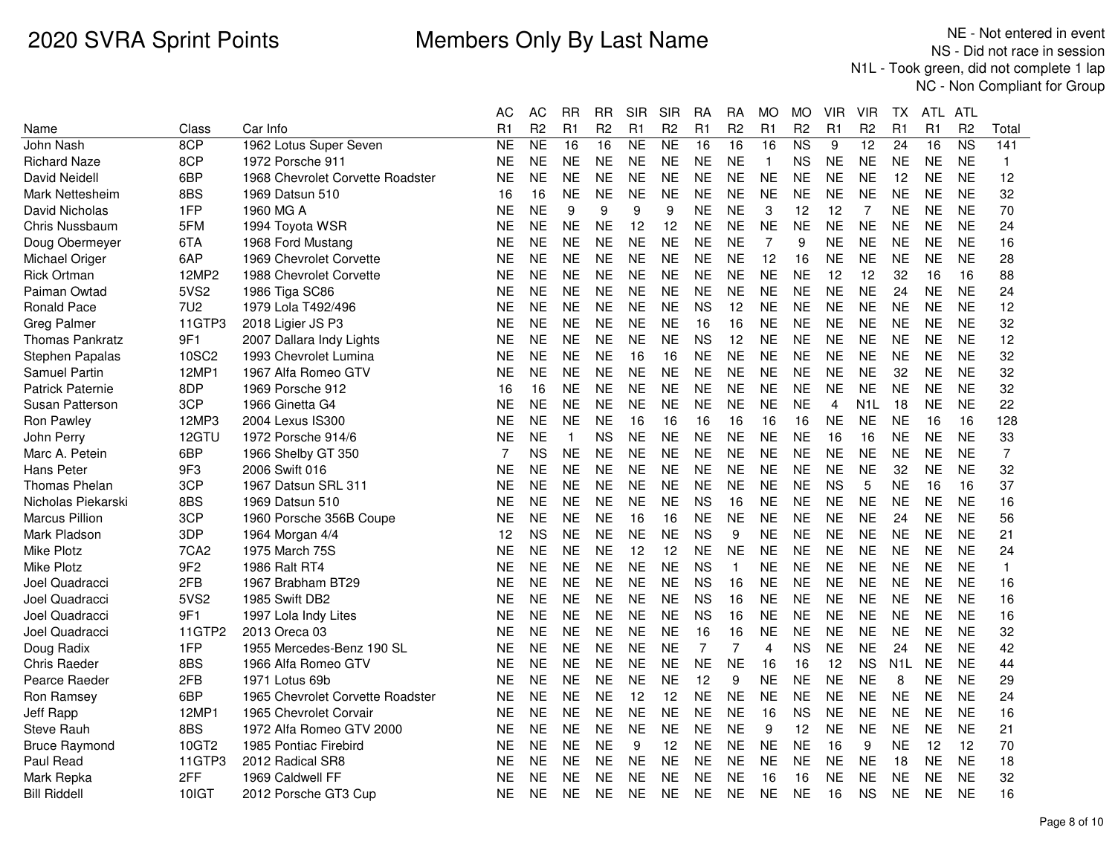|                        |                  |                                  | AС        | АC             | RR           | RR             | SIR       | SIR            | RA             | RА             | МO             | MO             | VIR            | VIR              | ТX               | ATL            | ATL            |                |
|------------------------|------------------|----------------------------------|-----------|----------------|--------------|----------------|-----------|----------------|----------------|----------------|----------------|----------------|----------------|------------------|------------------|----------------|----------------|----------------|
| Name                   | Class            | Car Info                         | R1        | R <sub>2</sub> | R1           | R <sub>2</sub> | R1        | R <sub>2</sub> | R1             | R <sub>2</sub> | R1             | R <sub>2</sub> | R <sub>1</sub> | R <sub>2</sub>   | R1               | R <sub>1</sub> | R <sub>2</sub> | Total          |
| John Nash              | 8CP              | 1962 Lotus Super Seven           | <b>NE</b> | <b>NE</b>      | 16           | 16             | <b>NE</b> | <b>NE</b>      | 16             | 16             | 16             | N <sub>S</sub> | 9              | $\overline{12}$  | 24               | 16             | <b>NS</b>      | 141            |
| <b>Richard Naze</b>    | 8CP              | 1972 Porsche 911                 | ΝE        | <b>NE</b>      | <b>NE</b>    | <b>NE</b>      | <b>NE</b> | <b>NE</b>      | <b>NE</b>      | <b>NE</b>      | $\overline{1}$ | <b>NS</b>      | <b>NE</b>      | <b>NE</b>        | <b>NE</b>        | <b>NE</b>      | <b>NE</b>      | $\mathbf{1}$   |
| David Neidell          | 6BP              | 1968 Chevrolet Corvette Roadster | <b>NE</b> | <b>NE</b>      | <b>NE</b>    | <b>NE</b>      | <b>NE</b> | <b>NE</b>      | <b>NE</b>      | <b>NE</b>      | <b>NE</b>      | <b>NE</b>      | <b>NE</b>      | <b>NE</b>        | 12               | <b>NE</b>      | <b>NE</b>      | 12             |
| Mark Nettesheim        | 8BS              | 1969 Datsun 510                  | 16        | 16             | <b>NE</b>    | <b>NE</b>      | <b>NE</b> | <b>NE</b>      | <b>NE</b>      | <b>NE</b>      | <b>NE</b>      | <b>NE</b>      | <b>NE</b>      | <b>NE</b>        | <b>NE</b>        | <b>NE</b>      | <b>NE</b>      | 32             |
| David Nicholas         | 1FP              | 1960 MG A                        | NE        | <b>NE</b>      | 9            | 9              | 9         | 9              | <b>NE</b>      | <b>NE</b>      | 3              | 12             | 12             | $\overline{7}$   | <b>NE</b>        | <b>NE</b>      | <b>NE</b>      | 70             |
| Chris Nussbaum         | 5FM              | 1994 Toyota WSR                  | ΝE        | <b>NE</b>      | <b>NE</b>    | <b>NE</b>      | 12        | 12             | <b>NE</b>      | <b>NE</b>      | <b>NE</b>      | <b>NE</b>      | <b>NE</b>      | <b>NE</b>        | <b>NE</b>        | <b>NE</b>      | <b>NE</b>      | 24             |
| Doug Obermeyer         | 6TA              | 1968 Ford Mustang                | NΕ        | <b>NE</b>      | <b>NE</b>    | <b>NE</b>      | <b>NE</b> | <b>NE</b>      | <b>NE</b>      | <b>NE</b>      | $\overline{7}$ | 9              | <b>NE</b>      | <b>NE</b>        | <b>NE</b>        | <b>NE</b>      | <b>NE</b>      | 16             |
| Michael Origer         | 6AP              | 1969 Chevrolet Corvette          | NE        | <b>NE</b>      | <b>NE</b>    | <b>NE</b>      | <b>NE</b> | <b>NE</b>      | <b>NE</b>      | <b>NE</b>      | 12             | 16             | <b>NE</b>      | <b>NE</b>        | <b>NE</b>        | <b>NE</b>      | <b>NE</b>      | 28             |
| Rick Ortman            | 12MP2            | 1988 Chevrolet Corvette          | NΕ        | <b>NE</b>      | <b>NE</b>    | <b>NE</b>      | <b>NE</b> | <b>NE</b>      | <b>NE</b>      | <b>NE</b>      | <b>NE</b>      | <b>NE</b>      | 12             | 12               | 32               | 16             | 16             | 88             |
| Paiman Owtad           | 5VS2             | 1986 Tiga SC86                   | NE        | <b>NE</b>      | <b>NE</b>    | <b>NE</b>      | <b>NE</b> | <b>NE</b>      | <b>NE</b>      | <b>NE</b>      | <b>NE</b>      | <b>NE</b>      | <b>NE</b>      | <b>NE</b>        | 24               | <b>NE</b>      | <b>NE</b>      | 24             |
| Ronald Pace            | 7U2              | 1979 Lola T492/496               | NE        | <b>NE</b>      | <b>NE</b>    | <b>NE</b>      | <b>NE</b> | <b>NE</b>      | <b>NS</b>      | 12             | <b>NE</b>      | <b>NE</b>      | <b>NE</b>      | <b>NE</b>        | <b>NE</b>        | <b>NE</b>      | <b>NE</b>      | 12             |
| Greg Palmer            | 11GTP3           | 2018 Ligier JS P3                | NE        | <b>NE</b>      | <b>NE</b>    | <b>NE</b>      | <b>NE</b> | <b>NE</b>      | 16             | 16             | <b>NE</b>      | <b>NE</b>      | <b>NE</b>      | <b>NE</b>        | <b>NE</b>        | <b>NE</b>      | <b>NE</b>      | 32             |
| <b>Thomas Pankratz</b> | 9F1              | 2007 Dallara Indy Lights         | NE        | <b>NE</b>      | <b>NE</b>    | <b>NE</b>      | <b>NE</b> | <b>NE</b>      | <b>NS</b>      | 12             | <b>NE</b>      | <b>NE</b>      | <b>NE</b>      | <b>NE</b>        | <b>NE</b>        | <b>NE</b>      | <b>NE</b>      | 12             |
| Stephen Papalas        | 10SC2            | 1993 Chevrolet Lumina            | NE        | <b>NE</b>      | <b>NE</b>    | <b>NE</b>      | 16        | 16             | <b>NE</b>      | <b>NE</b>      | <b>NE</b>      | <b>NE</b>      | <b>NE</b>      | <b>NE</b>        | <b>NE</b>        | <b>NE</b>      | <b>NE</b>      | 32             |
| <b>Samuel Partin</b>   | 12MP1            | 1967 Alfa Romeo GTV              | NE        | <b>NE</b>      | <b>NE</b>    | <b>NE</b>      | <b>NE</b> | <b>NE</b>      | <b>NE</b>      | <b>NE</b>      | <b>NE</b>      | <b>NE</b>      | <b>NE</b>      | <b>NE</b>        | 32               | <b>NE</b>      | <b>NE</b>      | 32             |
| Patrick Paternie       | 8DP              | 1969 Porsche 912                 | 16        | 16             | <b>NE</b>    | <b>NE</b>      | <b>NE</b> | <b>NE</b>      | <b>NE</b>      | <b>NE</b>      | <b>NE</b>      | <b>NE</b>      | <b>NE</b>      | <b>NE</b>        | <b>NE</b>        | <b>NE</b>      | <b>NE</b>      | 32             |
| Susan Patterson        | 3CP              | 1966 Ginetta G4                  | NE        | <b>NE</b>      | <b>NE</b>    | <b>NE</b>      | <b>NE</b> | <b>NE</b>      | <b>NE</b>      | <b>NE</b>      | <b>NE</b>      | <b>NE</b>      | $\overline{4}$ | N <sub>1</sub> L | 18               | <b>NE</b>      | <b>NE</b>      | 22             |
| Ron Pawley             | 12MP3            | 2004 Lexus IS300                 | NE        | <b>NE</b>      | <b>NE</b>    | <b>NE</b>      | 16        | 16             | 16             | 16             | 16             | 16             | <b>NE</b>      | <b>NE</b>        | <b>NE</b>        | 16             | 16             | 128            |
| John Perry             | 12GTU            | 1972 Porsche 914/6               | NΕ        | <b>NE</b>      | $\mathbf{1}$ | <b>NS</b>      | <b>NE</b> | <b>NE</b>      | <b>NE</b>      | <b>NE</b>      | <b>NE</b>      | <b>NE</b>      | 16             | 16               | <b>NE</b>        | <b>NE</b>      | <b>NE</b>      | 33             |
| Marc A. Petein         | 6BP              | 1966 Shelby GT 350               | 7         | <b>NS</b>      | <b>NE</b>    | <b>NE</b>      | <b>NE</b> | <b>NE</b>      | <b>NE</b>      | <b>NE</b>      | <b>NE</b>      | <b>NE</b>      | <b>NE</b>      | <b>NE</b>        | <b>NE</b>        | <b>NE</b>      | <b>NE</b>      | $\overline{7}$ |
| Hans Peter             | 9F3              | 2006 Swift 016                   | ΝE        | <b>NE</b>      | <b>NE</b>    | <b>NE</b>      | <b>NE</b> | <b>NE</b>      | <b>NE</b>      | <b>NE</b>      | <b>NE</b>      | <b>NE</b>      | <b>NE</b>      | <b>NE</b>        | 32               | <b>NE</b>      | <b>NE</b>      | 32             |
| <b>Thomas Phelan</b>   | 3CP              | 1967 Datsun SRL 311              | NE        | <b>NE</b>      | <b>NE</b>    | <b>NE</b>      | <b>NE</b> | <b>NE</b>      | <b>NE</b>      | <b>NE</b>      | <b>NE</b>      | <b>NE</b>      | <b>NS</b>      | 5                | <b>NE</b>        | 16             | 16             | 37             |
| Nicholas Piekarski     | 8BS              | 1969 Datsun 510                  | NE        | <b>NE</b>      | <b>NE</b>    | <b>NE</b>      | <b>NE</b> | <b>NE</b>      | <b>NS</b>      | 16             | <b>NE</b>      | <b>NE</b>      | <b>NE</b>      | <b>NE</b>        | <b>NE</b>        | <b>NE</b>      | <b>NE</b>      | 16             |
| <b>Marcus Pillion</b>  | 3CP              | 1960 Porsche 356B Coupe          | NE        | <b>NE</b>      | <b>NE</b>    | <b>NE</b>      | 16        | 16             | <b>NE</b>      | <b>NE</b>      | <b>NE</b>      | <b>NE</b>      | <b>NE</b>      | <b>NE</b>        | 24               | <b>NE</b>      | <b>NE</b>      | 56             |
| Mark Pladson           | 3DP              | 1964 Morgan 4/4                  | 12        | <b>NS</b>      | <b>NE</b>    | <b>NE</b>      | <b>NE</b> | <b>NE</b>      | <b>NS</b>      | 9              | <b>NE</b>      | <b>NE</b>      | <b>NE</b>      | <b>NE</b>        | <b>NE</b>        | <b>NE</b>      | <b>NE</b>      | 21             |
| <b>Mike Plotz</b>      | 7CA <sub>2</sub> | 1975 March 75S                   | NE        | <b>NE</b>      | <b>NE</b>    | <b>NE</b>      | 12        | 12             | <b>NE</b>      | <b>NE</b>      | <b>NE</b>      | <b>NE</b>      | <b>NE</b>      | <b>NE</b>        | <b>NE</b>        | <b>NE</b>      | <b>NE</b>      | 24             |
| Mike Plotz             | 9F <sub>2</sub>  | 1986 Ralt RT4                    | NE        | <b>NE</b>      | <b>NE</b>    | <b>NE</b>      | <b>NE</b> | <b>NE</b>      | <b>NS</b>      | 1              | <b>NE</b>      | <b>NE</b>      | <b>NE</b>      | <b>NE</b>        | <b>NE</b>        | <b>NE</b>      | <b>NE</b>      | $\mathbf{1}$   |
| Joel Quadracci         | 2FB              | 1967 Brabham BT29                | NE        | <b>NE</b>      | <b>NE</b>    | <b>NE</b>      | <b>NE</b> | <b>NE</b>      | <b>NS</b>      | 16             | <b>NE</b>      | <b>NE</b>      | <b>NE</b>      | <b>NE</b>        | <b>NE</b>        | <b>NE</b>      | <b>NE</b>      | 16             |
| Joel Quadracci         | 5VS2             | 1985 Swift DB2                   | NE        | <b>NE</b>      | <b>NE</b>    | <b>NE</b>      | <b>NE</b> | <b>NE</b>      | <b>NS</b>      | 16             | <b>NE</b>      | <b>NE</b>      | <b>NE</b>      | <b>NE</b>        | <b>NE</b>        | <b>NE</b>      | <b>NE</b>      | 16             |
| Joel Quadracci         | 9F1              | 1997 Lola Indy Lites             | NE        | <b>NE</b>      | <b>NE</b>    | <b>NE</b>      | <b>NE</b> | <b>NE</b>      | <b>NS</b>      | 16             | <b>NE</b>      | NE             | <b>NE</b>      | <b>NE</b>        | <b>NE</b>        | <b>NE</b>      | <b>NE</b>      | 16             |
| Joel Quadracci         | 11GTP2           | 2013 Oreca 03                    | NE        | <b>NE</b>      | <b>NE</b>    | <b>NE</b>      | <b>NE</b> | <b>NE</b>      | 16             | 16             | <b>NE</b>      | <b>NE</b>      | <b>NE</b>      | <b>NE</b>        | <b>NE</b>        | <b>NE</b>      | <b>NE</b>      | 32             |
| Doug Radix             | 1FP              | 1955 Mercedes-Benz 190 SL        | NE        | <b>NE</b>      | <b>NE</b>    | <b>NE</b>      | <b>NE</b> | <b>NE</b>      | $\overline{7}$ | 7              | 4              | ΝS             | <b>NE</b>      | <b>NE</b>        | 24               | <b>NE</b>      | <b>NE</b>      | 42             |
| <b>Chris Raeder</b>    | 8BS              | 1966 Alfa Romeo GTV              | NE        | <b>NE</b>      | <b>NE</b>    | <b>NE</b>      | <b>NE</b> | <b>NE</b>      | <b>NE</b>      | <b>NE</b>      | 16             | 16             | 12             | <b>NS</b>        | N <sub>1</sub> L | <b>NE</b>      | <b>NE</b>      | 44             |
| Pearce Raeder          | 2FB              | 1971 Lotus 69b                   | NE        | <b>NE</b>      | <b>NE</b>    | <b>NE</b>      | <b>NE</b> | <b>NE</b>      | 12             | 9              | <b>NE</b>      | NE             | <b>NE</b>      | <b>NE</b>        | 8                | <b>NE</b>      | <b>NE</b>      | 29             |
| Ron Ramsey             | 6BP              | 1965 Chevrolet Corvette Roadster | NE        | <b>NE</b>      | <b>NE</b>    | <b>NE</b>      | 12        | 12             | <b>NE</b>      | <b>NE</b>      | <b>NE</b>      | <b>NE</b>      | <b>NE</b>      | <b>NE</b>        | <b>NE</b>        | <b>NE</b>      | <b>NE</b>      | 24             |
| Jeff Rapp              | 12MP1            | 1965 Chevrolet Corvair           | NE        | <b>NE</b>      | <b>NE</b>    | <b>NE</b>      | <b>NE</b> | <b>NE</b>      | <b>NE</b>      | <b>NE</b>      | 16             | ΝS             | <b>NE</b>      | <b>NE</b>        | <b>NE</b>        | <b>NE</b>      | <b>NE</b>      | 16             |
| Steve Rauh             | 8BS              | 1972 Alfa Romeo GTV 2000         | NE        | <b>NE</b>      | <b>NE</b>    | <b>NE</b>      | <b>NE</b> | <b>NE</b>      | <b>NE</b>      | <b>NE</b>      | 9              | 12             | <b>NE</b>      | <b>NE</b>        | <b>NE</b>        | <b>NE</b>      | <b>NE</b>      | 21             |
| <b>Bruce Raymond</b>   | 10GT2            | 1985 Pontiac Firebird            | NE        | <b>NE</b>      | <b>NE</b>    | <b>NE</b>      | 9         | 12             | <b>NE</b>      | <b>NE</b>      | <b>NE</b>      | <b>NE</b>      | 16             | 9                | <b>NE</b>        | 12             | 12             | 70             |
| Paul Read              | 11GTP3           | 2012 Radical SR8                 | NE        | <b>NE</b>      | <b>NE</b>    | <b>NE</b>      | <b>NE</b> | <b>NE</b>      | <b>NE</b>      | <b>NE</b>      | <b>NE</b>      | <b>NE</b>      | <b>NE</b>      | <b>NE</b>        | 18               | <b>NE</b>      | <b>NE</b>      | 18             |
| Mark Repka             | 2FF              | 1969 Caldwell FF                 | NE        | <b>NE</b>      | <b>NE</b>    | <b>NE</b>      | <b>NE</b> | <b>NE</b>      | <b>NE</b>      | <b>NE</b>      | 16             | 16             | <b>NE</b>      | <b>NE</b>        | <b>NE</b>        | <b>NE</b>      | <b>NE</b>      | 32             |
| <b>Bill Riddell</b>    | 10IGT            | 2012 Porsche GT3 Cup             | NE        | <b>NE</b>      | <b>NE</b>    | <b>NE</b>      | <b>NE</b> | <b>NE</b>      | <b>NE</b>      | <b>NE</b>      | <b>NE</b>      | <b>NE</b>      | 16             | <b>NS</b>        | <b>NE</b>        | <b>NE</b>      | <b>NE</b>      | 16             |
|                        |                  |                                  |           |                |              |                |           |                |                |                |                |                |                |                  |                  |                |                |                |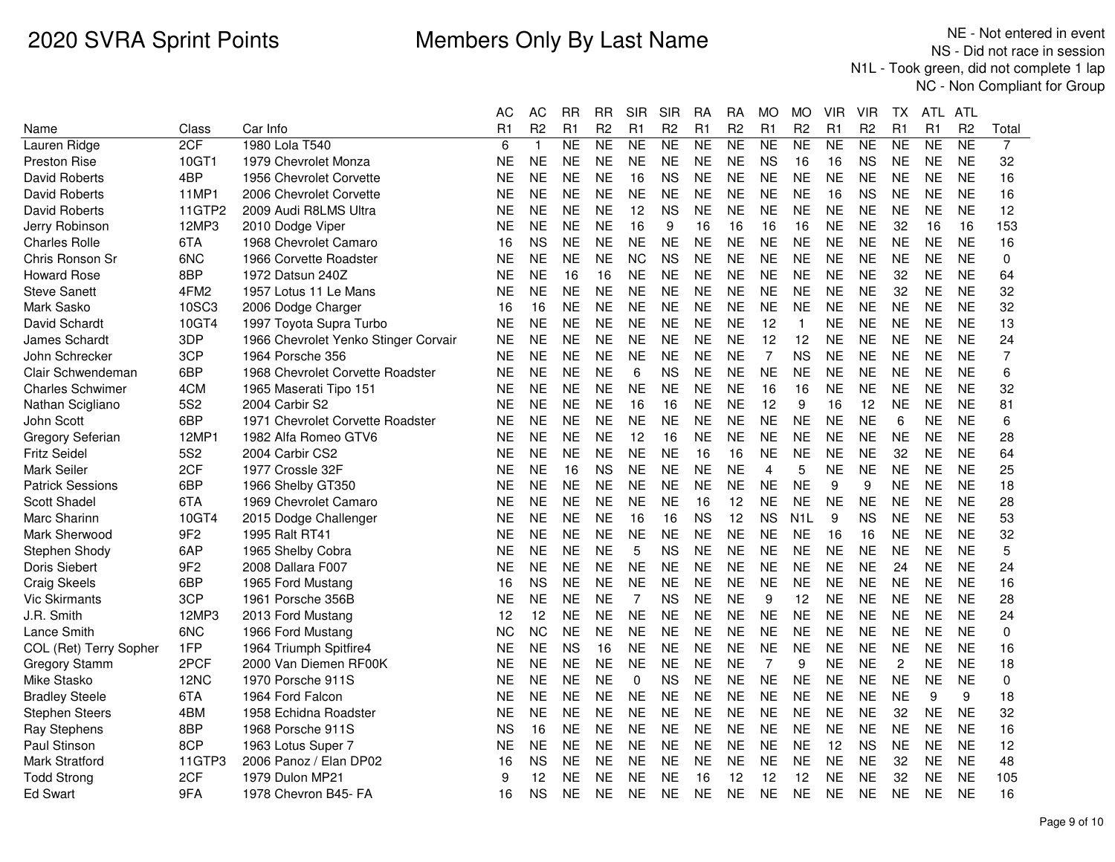|                         |                  |                                      | АC        | <b>AC</b>      | <b>RR</b> | <b>RR</b>      | <b>SIR</b>     | <b>SIR</b>     | RA             | <b>RA</b>      | <b>MO</b>      | <b>MO</b>      | VIR            | <b>VIR</b>     | ТX             | ATL            | <b>ATL</b>     |       |
|-------------------------|------------------|--------------------------------------|-----------|----------------|-----------|----------------|----------------|----------------|----------------|----------------|----------------|----------------|----------------|----------------|----------------|----------------|----------------|-------|
| Name                    | Class            | Car Info                             | R1        | R <sub>2</sub> | R1        | R <sub>2</sub> | R1             | R <sub>2</sub> | R <sub>1</sub> | R <sub>2</sub> | R1             | R <sub>2</sub> | R <sub>1</sub> | R <sub>2</sub> | R1             | R <sub>1</sub> | R <sub>2</sub> | Total |
| Lauren Ridge            | 2CF              | 1980 Lola T540                       | 6         | $\mathbf{1}$   | <b>NE</b> | <b>NE</b>      | <b>NE</b>      | NE             | <b>NE</b>      | <b>NE</b>      | NE             | <b>NE</b>      | <b>NE</b>      | NE             | <b>NE</b>      | <b>NE</b>      | <b>NE</b>      | 7     |
| <b>Preston Rise</b>     | 10GT1            | 1979 Chevrolet Monza                 | ΝE        | <b>NE</b>      | <b>NE</b> | <b>NE</b>      | <b>NE</b>      | <b>NE</b>      | <b>NE</b>      | <b>NE</b>      | <b>NS</b>      | 16             | 16             | <b>NS</b>      | <b>NE</b>      | <b>NE</b>      | <b>NE</b>      | 32    |
| <b>David Roberts</b>    | 4BP              | 1956 Chevrolet Corvette              | <b>NE</b> | <b>NE</b>      | <b>NE</b> | <b>NE</b>      | 16             | <b>NS</b>      | <b>NE</b>      | <b>NE</b>      | <b>NE</b>      | <b>NE</b>      | <b>NE</b>      | <b>NE</b>      | <b>NE</b>      | <b>NE</b>      | <b>NE</b>      | 16    |
| David Roberts           | 11MP1            | 2006 Chevrolet Corvette              | ΝE        | <b>NE</b>      | <b>NE</b> | <b>NE</b>      | <b>NE</b>      | <b>NE</b>      | <b>NE</b>      | <b>NE</b>      | <b>NE</b>      | <b>NE</b>      | 16             | <b>NS</b>      | <b>NE</b>      | <b>NE</b>      | <b>NE</b>      | 16    |
| David Roberts           | 11GTP2           | 2009 Audi R8LMS Ultra                | ΝE        | <b>NE</b>      | <b>NE</b> | <b>NE</b>      | 12             | <b>NS</b>      | <b>NE</b>      | <b>NE</b>      | <b>NE</b>      | <b>NE</b>      | <b>NE</b>      | <b>NE</b>      | <b>NE</b>      | <b>NE</b>      | <b>NE</b>      | 12    |
| Jerry Robinson          | 12MP3            | 2010 Dodge Viper                     | ΝE        | <b>NE</b>      | <b>NE</b> | <b>NE</b>      | 16             | 9              | 16             | 16             | 16             | 16             | <b>NE</b>      | <b>NE</b>      | 32             | 16             | 16             | 153   |
| <b>Charles Rolle</b>    | 6TA              | 1968 Chevrolet Camaro                | 16        | <b>NS</b>      | <b>NE</b> | <b>NE</b>      | <b>NE</b>      | <b>NE</b>      | <b>NE</b>      | <b>NE</b>      | <b>NE</b>      | <b>NE</b>      | <b>NE</b>      | <b>NE</b>      | <b>NE</b>      | <b>NE</b>      | <b>NE</b>      | 16    |
| Chris Ronson Sr         | 6NC              | 1966 Corvette Roadster               | ΝE        | <b>NE</b>      | <b>NE</b> | <b>NE</b>      | <b>NC</b>      | <b>NS</b>      | <b>NE</b>      | <b>NE</b>      | <b>NE</b>      | <b>NE</b>      | <b>NE</b>      | <b>NE</b>      | <b>NE</b>      | <b>NE</b>      | <b>NE</b>      | 0     |
| <b>Howard Rose</b>      | 8BP              | 1972 Datsun 240Z                     | NΕ        | <b>NE</b>      | 16        | 16             | <b>NE</b>      | <b>NE</b>      | <b>NE</b>      | <b>NE</b>      | <b>NE</b>      | <b>NE</b>      | <b>NE</b>      | <b>NE</b>      | 32             | <b>NE</b>      | <b>NE</b>      | 64    |
| <b>Steve Sanett</b>     | 4FM <sub>2</sub> | 1957 Lotus 11 Le Mans                | <b>NE</b> | <b>NE</b>      | <b>NE</b> | <b>NE</b>      | <b>NE</b>      | <b>NE</b>      | <b>NE</b>      | <b>NE</b>      | <b>NE</b>      | <b>NE</b>      | <b>NE</b>      | <b>NE</b>      | 32             | <b>NE</b>      | <b>NE</b>      | 32    |
| Mark Sasko              | 10SC3            | 2006 Dodge Charger                   | 16        | 16             | <b>NE</b> | <b>NE</b>      | <b>NE</b>      | <b>NE</b>      | <b>NE</b>      | <b>NE</b>      | <b>NE</b>      | <b>NE</b>      | <b>NE</b>      | <b>NE</b>      | <b>NE</b>      | <b>NE</b>      | <b>NE</b>      | 32    |
| David Schardt           | 10GT4            | 1997 Toyota Supra Turbo              | ΝE        | <b>NE</b>      | <b>NE</b> | <b>NE</b>      | <b>NE</b>      | <b>NE</b>      | <b>NE</b>      | <b>NE</b>      | 12             | $\mathbf{1}$   | <b>NE</b>      | <b>NE</b>      | <b>NE</b>      | <b>NE</b>      | <b>NE</b>      | 13    |
| James Schardt           | 3DP              | 1966 Chevrolet Yenko Stinger Corvair | NΕ        | <b>NE</b>      | <b>NE</b> | <b>NE</b>      | <b>NE</b>      | <b>NE</b>      | <b>NE</b>      | <b>NE</b>      | 12             | 12             | <b>NE</b>      | <b>NE</b>      | <b>NE</b>      | <b>NE</b>      | <b>NE</b>      | 24    |
| John Schrecker          | 3CP              | 1964 Porsche 356                     | <b>NE</b> | <b>NE</b>      | <b>NE</b> | <b>NE</b>      | <b>NE</b>      | <b>NE</b>      | <b>NE</b>      | <b>NE</b>      | $\overline{7}$ | <b>NS</b>      | <b>NE</b>      | <b>NE</b>      | <b>NE</b>      | <b>NE</b>      | <b>NE</b>      | 7     |
| Clair Schwendeman       | 6BP              | 1968 Chevrolet Corvette Roadster     | <b>NE</b> | <b>NE</b>      | <b>NE</b> | <b>NE</b>      | 6              | <b>NS</b>      | <b>NE</b>      | <b>NE</b>      | <b>NE</b>      | <b>NE</b>      | <b>NE</b>      | <b>NE</b>      | <b>NE</b>      | <b>NE</b>      | <b>NE</b>      | 6     |
| <b>Charles Schwimer</b> | 4CM              | 1965 Maserati Tipo 151               | <b>NE</b> | <b>NE</b>      | <b>NE</b> | <b>NE</b>      | <b>NE</b>      | <b>NE</b>      | <b>NE</b>      | <b>NE</b>      | 16             | 16             | <b>NE</b>      | <b>NE</b>      | <b>NE</b>      | <b>NE</b>      | <b>NE</b>      | 32    |
| Nathan Scigliano        | 5S <sub>2</sub>  | 2004 Carbir S2                       | <b>NE</b> | <b>NE</b>      | <b>NE</b> | <b>NE</b>      | 16             | 16             | <b>NE</b>      | <b>NE</b>      | 12             | 9              | 16             | 12             | <b>NE</b>      | <b>NE</b>      | <b>NE</b>      | 81    |
| John Scott              | 6BP              | 1971 Chevrolet Corvette Roadster     | ΝE        | <b>NE</b>      | <b>NE</b> | <b>NE</b>      | <b>NE</b>      | <b>NE</b>      | <b>NE</b>      | <b>NE</b>      | <b>NE</b>      | <b>NE</b>      | <b>NE</b>      | <b>NE</b>      | 6              | <b>NE</b>      | <b>NE</b>      | 6     |
| Gregory Seferian        | 12MP1            | 1982 Alfa Romeo GTV6                 | NE        | <b>NE</b>      | <b>NE</b> | <b>NE</b>      | 12             | 16             | <b>NE</b>      | <b>NE</b>      | <b>NE</b>      | <b>NE</b>      | <b>NE</b>      | <b>NE</b>      | <b>NE</b>      | <b>NE</b>      | <b>NE</b>      | 28    |
| <b>Fritz Seidel</b>     | <b>5S2</b>       | 2004 Carbir CS2                      | ΝE        | <b>NE</b>      | <b>NE</b> | <b>NE</b>      | <b>NE</b>      | <b>NE</b>      | 16             | 16             | <b>NE</b>      | <b>NE</b>      | <b>NE</b>      | <b>NE</b>      | 32             | <b>NE</b>      | <b>NE</b>      | 64    |
| <b>Mark Seiler</b>      | 2CF              | 1977 Crossle 32F                     | <b>NE</b> | <b>NE</b>      | 16        | <b>NS</b>      | <b>NE</b>      | <b>NE</b>      | <b>NE</b>      | <b>NE</b>      | $\overline{4}$ | 5              | <b>NE</b>      | <b>NE</b>      | <b>NE</b>      | <b>NE</b>      | <b>NE</b>      | 25    |
| <b>Patrick Sessions</b> | 6BP              | 1966 Shelby GT350                    | ΝE        | <b>NE</b>      | <b>NE</b> | <b>NE</b>      | <b>NE</b>      | <b>NE</b>      | <b>NE</b>      | <b>NE</b>      | <b>NE</b>      | <b>NE</b>      | 9              | 9              | <b>NE</b>      | <b>NE</b>      | <b>NE</b>      | 18    |
| Scott Shadel            | 6TA              | 1969 Chevrolet Camaro                | ΝE        | <b>NE</b>      | <b>NE</b> | <b>NE</b>      | <b>NE</b>      | <b>NE</b>      | 16             | 12             | <b>NE</b>      | <b>NE</b>      | <b>NE</b>      | <b>NE</b>      | <b>NE</b>      | <b>NE</b>      | <b>NE</b>      | 28    |
| Marc Sharinn            | 10GT4            | 2015 Dodge Challenger                | NΕ        | <b>NE</b>      | <b>NE</b> | <b>NE</b>      | 16             | 16             | <b>NS</b>      | 12             | <b>NS</b>      | N1L            | 9              | <b>NS</b>      | <b>NE</b>      | <b>NE</b>      | <b>NE</b>      | 53    |
| Mark Sherwood           | 9F <sub>2</sub>  | 1995 Ralt RT41                       | ΝE        | <b>NE</b>      | <b>NE</b> | <b>NE</b>      | <b>NE</b>      | <b>NE</b>      | <b>NE</b>      | <b>NE</b>      | <b>NE</b>      | <b>NE</b>      | 16             | 16             | <b>NE</b>      | <b>NE</b>      | <b>NE</b>      | 32    |
| Stephen Shody           | 6AP              | 1965 Shelby Cobra                    | ΝE        | <b>NE</b>      | <b>NE</b> | <b>NE</b>      | 5              | <b>NS</b>      | <b>NE</b>      | <b>NE</b>      | <b>NE</b>      | <b>NE</b>      | <b>NE</b>      | <b>NE</b>      | <b>NE</b>      | <b>NE</b>      | <b>NE</b>      | 5     |
| Doris Siebert           | 9F <sub>2</sub>  | 2008 Dallara F007                    | ΝE        | <b>NE</b>      | <b>NE</b> | <b>NE</b>      | <b>NE</b>      | <b>NE</b>      | <b>NE</b>      | <b>NE</b>      | <b>NE</b>      | <b>NE</b>      | <b>NE</b>      | <b>NE</b>      | 24             | <b>NE</b>      | <b>NE</b>      | 24    |
| <b>Craig Skeels</b>     | 6BP              | 1965 Ford Mustang                    | 16        | <b>NS</b>      | <b>NE</b> | <b>NE</b>      | <b>NE</b>      | <b>NE</b>      | <b>NE</b>      | <b>NE</b>      | <b>NE</b>      | <b>NE</b>      | <b>NE</b>      | <b>NE</b>      | <b>NE</b>      | <b>NE</b>      | <b>NE</b>      | 16    |
| <b>Vic Skirmants</b>    | 3CP              | 1961 Porsche 356B                    | ΝE        | <b>NE</b>      | <b>NE</b> | <b>NE</b>      | $\overline{7}$ | <b>NS</b>      | <b>NE</b>      | <b>NE</b>      | 9              | 12             | <b>NE</b>      | <b>NE</b>      | <b>NE</b>      | <b>NE</b>      | <b>NE</b>      | 28    |
| J.R. Smith              | 12MP3            | 2013 Ford Mustang                    | 12        | 12             | <b>NE</b> | <b>NE</b>      | <b>NE</b>      | <b>NE</b>      | <b>NE</b>      | <b>NE</b>      | <b>NE</b>      | <b>NE</b>      | <b>NE</b>      | <b>NE</b>      | <b>NE</b>      | <b>NE</b>      | <b>NE</b>      | 24    |
| Lance Smith             | 6NC              | 1966 Ford Mustang                    | ΝC        | <b>NC</b>      | <b>NE</b> | <b>NE</b>      | <b>NE</b>      | <b>NE</b>      | <b>NE</b>      | NE             | <b>NE</b>      | NE             | <b>NE</b>      | <b>NE</b>      | <b>NE</b>      | <b>NE</b>      | <b>NE</b>      | 0     |
| COL (Ret) Terry Sopher  | 1FP              | 1964 Triumph Spitfire4               | NE        | <b>NE</b>      | <b>NS</b> | 16             | <b>NE</b>      | <b>NE</b>      | <b>NE</b>      | <b>NE</b>      | <b>NE</b>      | <b>NE</b>      | <b>NE</b>      | <b>NE</b>      | <b>NE</b>      | <b>NE</b>      | <b>NE</b>      | 16    |
| <b>Gregory Stamm</b>    | 2PCF             | 2000 Van Diemen RF00K                | ΝE        | <b>NE</b>      | <b>NE</b> | <b>NE</b>      | <b>NE</b>      | <b>NE</b>      | <b>NE</b>      | <b>NE</b>      | $\overline{7}$ | 9              | <b>NE</b>      | <b>NE</b>      | $\overline{c}$ | <b>NE</b>      | <b>NE</b>      | 18    |
| Mike Stasko             | 12NC             | 1970 Porsche 911S                    | ΝE        | <b>NE</b>      | <b>NE</b> | <b>NE</b>      | $\mathbf 0$    | <b>NS</b>      | <b>NE</b>      | <b>NE</b>      | <b>NE</b>      | <b>NE</b>      | <b>NE</b>      | <b>NE</b>      | <b>NE</b>      | <b>NE</b>      | <b>NE</b>      | 0     |
| <b>Bradley Steele</b>   | 6TA              | 1964 Ford Falcon                     | ΝE        | <b>NE</b>      | <b>NE</b> | <b>NE</b>      | <b>NE</b>      | <b>NE</b>      | <b>NE</b>      | <b>NE</b>      | <b>NE</b>      | <b>NE</b>      | <b>NE</b>      | <b>NE</b>      | <b>NE</b>      | 9              | 9              | 18    |
| <b>Stephen Steers</b>   | 4BM              | 1958 Echidna Roadster                | ΝE        | <b>NE</b>      | <b>NE</b> | <b>NE</b>      | <b>NE</b>      | <b>NE</b>      | <b>NE</b>      | <b>NE</b>      | <b>NE</b>      | <b>NE</b>      | <b>NE</b>      | <b>NE</b>      | 32             | <b>NE</b>      | <b>NE</b>      | 32    |
| <b>Ray Stephens</b>     | 8BP              | 1968 Porsche 911S                    | <b>NS</b> | 16             | <b>NE</b> | <b>NE</b>      | <b>NE</b>      | <b>NE</b>      | <b>NE</b>      | <b>NE</b>      | <b>NE</b>      | <b>NE</b>      | <b>NE</b>      | <b>NE</b>      | <b>NE</b>      | <b>NE</b>      | <b>NE</b>      | 16    |
| Paul Stinson            | 8CP              | 1963 Lotus Super 7                   | ΝE        | <b>NE</b>      | NE        | <b>NE</b>      | <b>NE</b>      | NE             | <b>NE</b>      | NE             | <b>NE</b>      | <b>NE</b>      | 12             | ΝS             | <b>NE</b>      | <b>NE</b>      | <b>NE</b>      | 12    |
| <b>Mark Stratford</b>   | 11GTP3           | 2006 Panoz / Elan DP02               | 16        | <b>NS</b>      | <b>NE</b> | <b>NE</b>      | <b>NE</b>      | <b>NE</b>      | <b>NE</b>      | <b>NE</b>      | <b>NE</b>      | <b>NE</b>      | <b>NE</b>      | <b>NE</b>      | 32             | <b>NE</b>      | <b>NE</b>      | 48    |
| <b>Todd Strong</b>      | 2CF              | 1979 Dulon MP21                      | 9         | 12             | <b>NE</b> | <b>NE</b>      | <b>NE</b>      | <b>NE</b>      | 16             | 12             | 12             | 12             | <b>NE</b>      | <b>NE</b>      | 32             | <b>NE</b>      | <b>NE</b>      | 105   |
| <b>Ed Swart</b>         | 9FA              | 1978 Chevron B45- FA                 | 16        | <b>NS</b>      | <b>NE</b> | <b>NE</b>      | <b>NE</b>      | <b>NE</b>      | <b>NE</b>      | <b>NE</b>      | <b>NE</b>      | <b>NE</b>      | <b>NE</b>      | <b>NE</b>      | <b>NE</b>      | <b>NE</b>      | <b>NE</b>      | 16    |